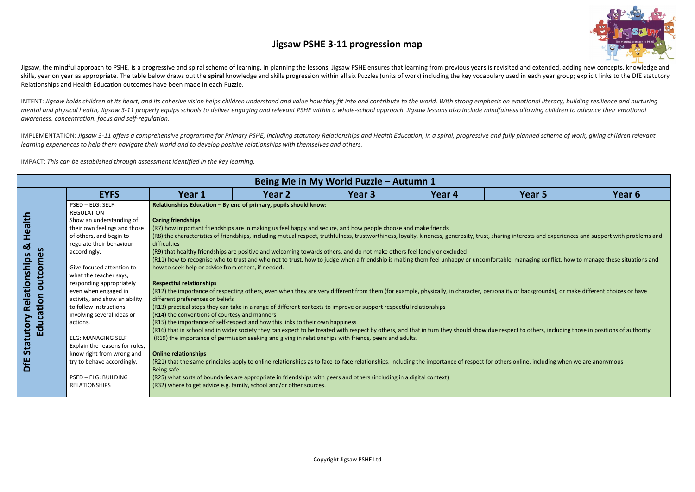

| ear 5                              | Year 6                                             |
|------------------------------------|----------------------------------------------------|
|                                    |                                                    |
|                                    | ests and experiences and support with problems and |
|                                    | aging conflict, how to manage these situations and |
|                                    | ackgrounds), or make different choices or have     |
|                                    | others, including those in positions of authority  |
| e, including when we are anonymous |                                                    |
|                                    |                                                    |

# **Jigsaw PSHE 3-11 progression map**

Jigsaw, the mindful approach to PSHE, is a progressive and spiral scheme of learning. In planning the lessons, Jigsaw PSHE ensures that learning from previous years is revisited and extended, adding new concepts, knowledge skills, year on year as appropriate. The table below draws out the spiral knowledge and skills progression within all six Puzzles (units of work) including the key vocabulary used in each year group; explicit links to the Relationships and Health Education outcomes have been made in each Puzzle.

INTENT: Jigsaw holds children at its heart, and its cohesive vision helps children understand and value how they fit into and contribute to the world. With strong emphasis on emotional literacy, building resilience and nur mental and physical health, Jigsaw 3-11 properly equips schools to deliver engaging and relevant PSHE within a whole-school approach. Jigsaw lessons also include mindfulness allowing children to advance their emotional *awareness, concentration, focus and self-regulation.*

IMPLEMENTATION: Jigsaw 3-11 offers a comprehensive programme for Primary PSHE, including statutory Relationships and Health Education, in a spiral, progressive and fully planned scheme of work, giving children relevant *learning experiences to help them navigate their world and to develop positive relationships with themselves and others.* 

IMPACT: *This can be established through assessment identified in the key learning.*

|                       |                                                     |                                                    |                                                                                                                         | Being Me in My World Puzzle - Autumn 1 |        |                                                                                                                                                                                                         |        |  |  |  |  |
|-----------------------|-----------------------------------------------------|----------------------------------------------------|-------------------------------------------------------------------------------------------------------------------------|----------------------------------------|--------|---------------------------------------------------------------------------------------------------------------------------------------------------------------------------------------------------------|--------|--|--|--|--|
|                       | <b>EYFS</b>                                         | Year 1                                             | Year 2                                                                                                                  | Year <sub>3</sub>                      | Year 4 | Year 5                                                                                                                                                                                                  | Year 6 |  |  |  |  |
|                       | PSED - ELG: SELF-                                   |                                                    | Relationships Education - By end of primary, pupils should know:                                                        |                                        |        |                                                                                                                                                                                                         |        |  |  |  |  |
|                       | <b>REGULATION</b>                                   |                                                    |                                                                                                                         |                                        |        |                                                                                                                                                                                                         |        |  |  |  |  |
| <b>Health</b>         | Show an understanding of                            | <b>Caring friendships</b>                          |                                                                                                                         |                                        |        |                                                                                                                                                                                                         |        |  |  |  |  |
|                       | their own feelings and those                        |                                                    | (R7) how important friendships are in making us feel happy and secure, and how people choose and make friends           |                                        |        |                                                                                                                                                                                                         |        |  |  |  |  |
|                       | of others, and begin to<br>regulate their behaviour | difficulties                                       |                                                                                                                         |                                        |        | (R8) the characteristics of friendships, including mutual respect, truthfulness, trustworthiness, loyalty, kindness, generosity, trust, sharing interests and experiences and support with problems and |        |  |  |  |  |
| $\infty$              | accordingly.                                        |                                                    | (R9) that healthy friendships are positive and welcoming towards others, and do not make others feel lonely or excluded |                                        |        |                                                                                                                                                                                                         |        |  |  |  |  |
|                       |                                                     |                                                    |                                                                                                                         |                                        |        | (R11) how to recognise who to trust and who not to trust, how to judge when a friendship is making them feel unhappy or uncomfortable, managing conflict, how to manage these situations and            |        |  |  |  |  |
| Relationships<br>tcom | Give focused attention to                           | how to seek help or advice from others, if needed. |                                                                                                                         |                                        |        |                                                                                                                                                                                                         |        |  |  |  |  |
|                       | what the teacher says,                              |                                                    |                                                                                                                         |                                        |        |                                                                                                                                                                                                         |        |  |  |  |  |
| Б                     | responding appropriately                            | <b>Respectful relationships</b>                    |                                                                                                                         |                                        |        |                                                                                                                                                                                                         |        |  |  |  |  |
| $\circ$               | even when engaged in                                |                                                    |                                                                                                                         |                                        |        | (R12) the importance of respecting others, even when they are very different from them (for example, physically, in character, personality or backgrounds), or make different choices or have           |        |  |  |  |  |
|                       | activity, and show an ability                       | different preferences or beliefs                   |                                                                                                                         |                                        |        |                                                                                                                                                                                                         |        |  |  |  |  |
|                       | to follow instructions                              |                                                    | (R13) practical steps they can take in a range of different contexts to improve or support respectful relationships     |                                        |        |                                                                                                                                                                                                         |        |  |  |  |  |
|                       | involving several ideas or                          | (R14) the conventions of courtesy and manners      |                                                                                                                         |                                        |        |                                                                                                                                                                                                         |        |  |  |  |  |
| Education             | actions.                                            |                                                    | (R15) the importance of self-respect and how this links to their own happiness                                          |                                        |        | (R16) that in school and in wider society they can expect to be treated with respect by others, and that in turn they should show due respect to others, including those in positions of authority      |        |  |  |  |  |
|                       | <b>ELG: MANAGING SELF</b>                           |                                                    | (R19) the importance of permission seeking and giving in relationships with friends, peers and adults.                  |                                        |        |                                                                                                                                                                                                         |        |  |  |  |  |
| Statutory             | Explain the reasons for rules,                      |                                                    |                                                                                                                         |                                        |        |                                                                                                                                                                                                         |        |  |  |  |  |
|                       | know right from wrong and                           | <b>Online relationships</b>                        |                                                                                                                         |                                        |        |                                                                                                                                                                                                         |        |  |  |  |  |
| DfE                   | try to behave accordingly.                          |                                                    |                                                                                                                         |                                        |        | (R21) that the same principles apply to online relationships as to face-to-face relationships, including the importance of respect for others online, including when we are anonymous                   |        |  |  |  |  |
|                       |                                                     | Being safe                                         |                                                                                                                         |                                        |        |                                                                                                                                                                                                         |        |  |  |  |  |
|                       | PSED - ELG: BUILDING                                |                                                    | (R25) what sorts of boundaries are appropriate in friendships with peers and others (including in a digital context)    |                                        |        |                                                                                                                                                                                                         |        |  |  |  |  |
|                       | <b>RELATIONSHIPS</b>                                |                                                    | (R32) where to get advice e.g. family, school and/or other sources.                                                     |                                        |        |                                                                                                                                                                                                         |        |  |  |  |  |
|                       |                                                     |                                                    |                                                                                                                         |                                        |        |                                                                                                                                                                                                         |        |  |  |  |  |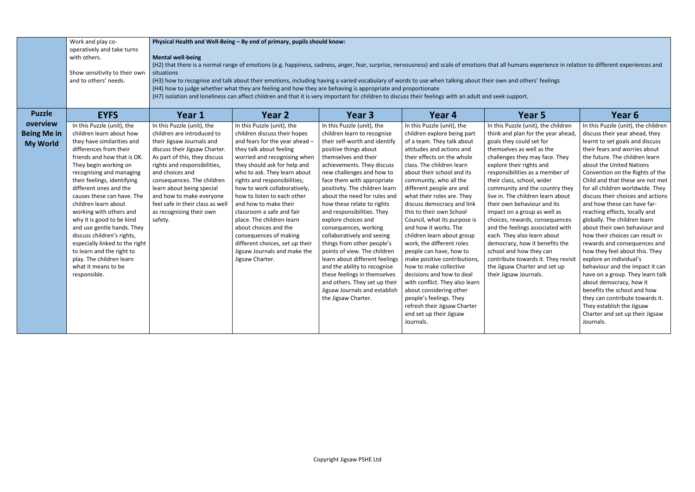|                    | Work and play co-<br>operatively and take turns        |                                                               | Physical Health and Well-Being - By end of primary, pupils should know:                                                                                                                                                                                                   |                                                                |                                                         |                                                                |                                                            |  |  |  |  |  |
|--------------------|--------------------------------------------------------|---------------------------------------------------------------|---------------------------------------------------------------------------------------------------------------------------------------------------------------------------------------------------------------------------------------------------------------------------|----------------------------------------------------------------|---------------------------------------------------------|----------------------------------------------------------------|------------------------------------------------------------|--|--|--|--|--|
|                    | with others.                                           | <b>Mental well-being</b>                                      |                                                                                                                                                                                                                                                                           |                                                                |                                                         |                                                                |                                                            |  |  |  |  |  |
|                    |                                                        |                                                               | (H2) that there is a normal range of emotions (e.g. happiness, sadness, anger, fear, surprise, nervousness) and scale of emotions that all humans experience in relation to different experiences and                                                                     |                                                                |                                                         |                                                                |                                                            |  |  |  |  |  |
|                    | Show sensitivity to their own<br>and to others' needs. | situations                                                    |                                                                                                                                                                                                                                                                           |                                                                |                                                         |                                                                |                                                            |  |  |  |  |  |
|                    |                                                        |                                                               | (H3) how to recognise and talk about their emotions, including having a varied vocabulary of words to use when talking about their own and others' feelings<br>(H4) how to judge whether what they are feeling and how they are behaving is appropriate and proportionate |                                                                |                                                         |                                                                |                                                            |  |  |  |  |  |
|                    |                                                        |                                                               |                                                                                                                                                                                                                                                                           |                                                                |                                                         |                                                                |                                                            |  |  |  |  |  |
|                    |                                                        |                                                               | (H7) isolation and loneliness can affect children and that it is very important for children to discuss their feelings with an adult and seek support.                                                                                                                    |                                                                |                                                         |                                                                |                                                            |  |  |  |  |  |
| <b>Puzzle</b>      | <b>EYFS</b>                                            | Year 1                                                        | Year 2                                                                                                                                                                                                                                                                    | Year <sub>3</sub>                                              | Year <sub>4</sub>                                       | Year <sub>5</sub>                                              | Year 6                                                     |  |  |  |  |  |
| overview           | In this Puzzle (unit), the                             | In this Puzzle (unit), the                                    | In this Puzzle (unit), the                                                                                                                                                                                                                                                | In this Puzzle (unit), the                                     | In this Puzzle (unit), the                              | In this Puzzle (unit), the children                            | In this Puzzle (unit), the children                        |  |  |  |  |  |
| <b>Being Me in</b> | children learn about how                               | children are introduced to                                    | children discuss their hopes                                                                                                                                                                                                                                              | children learn to recognise                                    | children explore being part                             | think and plan for the year ahead,                             | discuss their year ahead, they                             |  |  |  |  |  |
| <b>My World</b>    | they have similarities and                             | their Jigsaw Journals and                                     | and fears for the year ahead -                                                                                                                                                                                                                                            | their self-worth and identify                                  | of a team. They talk about                              | goals they could set for                                       | learnt to set goals and discuss                            |  |  |  |  |  |
|                    | differences from their                                 | discuss their Jigsaw Charter.                                 | they talk about feeling                                                                                                                                                                                                                                                   | positive things about                                          | attitudes and actions and                               | themselves as well as the                                      | their fears and worries about                              |  |  |  |  |  |
|                    | friends and how that is OK.<br>They begin working on   | As part of this, they discuss<br>rights and responsibilities, | worried and recognising when<br>they should ask for help and                                                                                                                                                                                                              | themselves and their<br>achievements. They discuss             | their effects on the whole<br>class. The children learn | challenges they may face. They<br>explore their rights and     | the future. The children learn<br>about the United Nations |  |  |  |  |  |
|                    | recognising and managing                               | and choices and                                               | who to ask. They learn about                                                                                                                                                                                                                                              | new challenges and how to                                      | about their school and its                              | responsibilities as a member of                                | Convention on the Rights of the                            |  |  |  |  |  |
|                    | their feelings, identifying                            | consequences. The children                                    | rights and responsibilities;                                                                                                                                                                                                                                              | face them with appropriate                                     | community, who all the                                  | their class, school, wider                                     | Child and that these are not met                           |  |  |  |  |  |
|                    | different ones and the                                 | learn about being special                                     | how to work collaboratively,                                                                                                                                                                                                                                              | positivity. The children learn                                 | different people are and                                | community and the country they                                 | for all children worldwide. They                           |  |  |  |  |  |
|                    | causes these can have. The                             | and how to make everyone                                      | how to listen to each other                                                                                                                                                                                                                                               | about the need for rules and                                   | what their roles are. They                              | live in. The children learn about                              | discuss their choices and actions                          |  |  |  |  |  |
|                    | children learn about                                   | feel safe in their class as well                              | and how to make their                                                                                                                                                                                                                                                     | how these relate to rights                                     | discuss democracy and link                              | their own behaviour and its                                    | and how these can have far-                                |  |  |  |  |  |
|                    | working with others and                                | as recognising their own                                      | classroom a safe and fair                                                                                                                                                                                                                                                 | and responsibilities. They                                     | this to their own School                                | impact on a group as well as                                   | reaching effects, locally and                              |  |  |  |  |  |
|                    | why it is good to be kind                              | safety.                                                       | place. The children learn                                                                                                                                                                                                                                                 | explore choices and                                            | Council, what its purpose is                            | choices, rewards, consequences                                 | globally. The children learn                               |  |  |  |  |  |
|                    | and use gentle hands. They                             |                                                               | about choices and the                                                                                                                                                                                                                                                     | consequences, working                                          | and how it works. The                                   | and the feelings associated with                               | about their own behaviour and                              |  |  |  |  |  |
|                    | discuss children's rights,                             |                                                               | consequences of making                                                                                                                                                                                                                                                    | collaboratively and seeing                                     | children learn about group                              | each. They also learn about                                    | how their choices can result in                            |  |  |  |  |  |
|                    | especially linked to the right                         |                                                               | different choices, set up their                                                                                                                                                                                                                                           | things from other people's                                     | work, the different roles                               | democracy, how it benefits the                                 | rewards and consequences and                               |  |  |  |  |  |
|                    | to learn and the right to<br>play. The children learn  |                                                               | Jigsaw Journals and make the<br>Jigsaw Charter.                                                                                                                                                                                                                           | points of view. The children<br>learn about different feelings | people can have, how to<br>make positive contributions, | school and how they can<br>contribute towards it. They revisit | how they feel about this. They<br>explore an individual's  |  |  |  |  |  |
|                    | what it means to be                                    |                                                               |                                                                                                                                                                                                                                                                           | and the ability to recognise                                   | how to make collective                                  | the Jigsaw Charter and set up                                  | behaviour and the impact it can                            |  |  |  |  |  |
|                    | responsible.                                           |                                                               |                                                                                                                                                                                                                                                                           | these feelings in themselves                                   | decisions and how to deal                               | their Jigsaw Journals.                                         | have on a group. They learn talk                           |  |  |  |  |  |
|                    |                                                        |                                                               |                                                                                                                                                                                                                                                                           | and others. They set up their                                  | with conflict. They also learn                          |                                                                | about democracy, how it                                    |  |  |  |  |  |
|                    |                                                        |                                                               |                                                                                                                                                                                                                                                                           | Jigsaw Journals and establish                                  | about considering other                                 |                                                                | benefits the school and how                                |  |  |  |  |  |
|                    |                                                        |                                                               |                                                                                                                                                                                                                                                                           | the Jigsaw Charter.                                            | people's feelings. They                                 |                                                                | they can contribute towards it.                            |  |  |  |  |  |
|                    |                                                        |                                                               |                                                                                                                                                                                                                                                                           |                                                                | refresh their Jigsaw Charter                            |                                                                | They establish the Jigsaw                                  |  |  |  |  |  |
|                    |                                                        |                                                               |                                                                                                                                                                                                                                                                           |                                                                | and set up their Jigsaw                                 |                                                                | Charter and set up their Jigsaw                            |  |  |  |  |  |
|                    |                                                        |                                                               |                                                                                                                                                                                                                                                                           |                                                                | Journals.                                               |                                                                | Journals.                                                  |  |  |  |  |  |
|                    |                                                        |                                                               |                                                                                                                                                                                                                                                                           |                                                                |                                                         |                                                                |                                                            |  |  |  |  |  |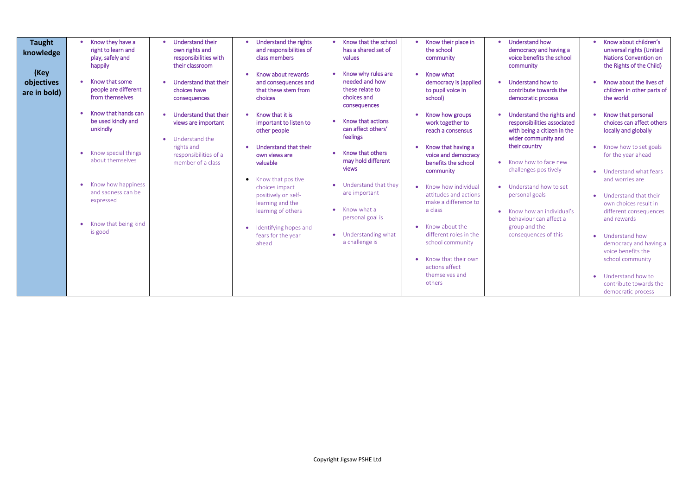- rstand how ocracy and having a benefits the school nunity
- rstand how to ibute towards the ocratic process
- rstand the rights and nsibilities associated being a citizen in the community and country
- how to face new enges positively
- rstand how to set nal goals
- how an individual's viour can affect a and the equences of this

| <b>Taught</b><br>knowledge<br>(Key<br>objectives<br>are in bold) | Know they have a<br>$\bullet$<br>right to learn and<br>play, safely and<br>happily<br>Know that some<br>people are different<br>from themselves | Understand their<br>own rights and<br>responsibilities with<br>their classroom<br>Understand that their<br>choices have<br>consequences | Understand the rights<br>and responsibilities of<br>class members<br>Know about rewards<br>and consequences and<br>that these stem from<br>choices | Know that the school<br>has a shared set of<br>values<br>Know why rules are<br>needed and how<br>these relate to<br>choices and<br>consequences | Know their place in<br>the school<br>community<br>Know what<br>$\bullet$<br>democracy is (applied<br>to pupil voice in<br>school) | Under<br>$\bullet$<br>demo<br>voice l<br>comm<br>Under<br>contril<br>demo |
|------------------------------------------------------------------|-------------------------------------------------------------------------------------------------------------------------------------------------|-----------------------------------------------------------------------------------------------------------------------------------------|----------------------------------------------------------------------------------------------------------------------------------------------------|-------------------------------------------------------------------------------------------------------------------------------------------------|-----------------------------------------------------------------------------------------------------------------------------------|---------------------------------------------------------------------------|
|                                                                  | Know that hands can<br>$\bullet$<br>be used kindly and<br>unkindly                                                                              | Understand that their<br>views are important<br>Understand the                                                                          | Know that it is<br>important to listen to<br>other people                                                                                          | Know that actions<br>can affect others'<br>feelings                                                                                             | Know how groups<br>work together to<br>reach a consensus                                                                          | Under<br>respor<br>with b<br>wider                                        |
|                                                                  | Know special things<br>$\bullet$<br>about themselves                                                                                            | rights and<br>responsibilities of a<br>member of a class                                                                                | Understand that their<br>own views are<br>valuable                                                                                                 | Know that others<br>may hold different<br>views                                                                                                 | Know that having a<br>voice and democracy<br>benefits the school<br>community                                                     | their c<br>Know<br>$\bullet$<br>challe                                    |
|                                                                  | Know how happiness<br>$\bullet$<br>and sadness can be<br>expressed                                                                              |                                                                                                                                         | Know that positive<br>choices impact<br>positively on self-<br>learning and the<br>learning of others                                              | Understand that they<br>are important<br>Know what a                                                                                            | Know how individual<br>attitudes and actions<br>make a difference to<br>a class                                                   | Under<br>persor<br>Know<br>$\bullet$                                      |
|                                                                  | Know that being kind<br>$\bullet$<br>is good                                                                                                    |                                                                                                                                         | Identifying hopes and<br>fears for the year<br>ahead                                                                                               | personal goal is<br>Understanding what<br>$\bullet$<br>a challenge is                                                                           | Know about the<br>different roles in the<br>school community                                                                      | behav<br>group<br>conse                                                   |
|                                                                  |                                                                                                                                                 |                                                                                                                                         |                                                                                                                                                    |                                                                                                                                                 | Know that their own<br>actions affect<br>themselves and<br>others                                                                 |                                                                           |

- Know about children's universal rights (United Nations Convention on the Rights of the Child)
- Know about the lives of children in other parts of the world
- Know that personal choices can affect others locally and globally
- Know how to set goals for the year ahead
- Understand what fears and worries are
- Understand that their own choices result in different consequences and rewards
- Understand how democracy and having a voice benefits the school community
- Understand how to contribute towards the democratic process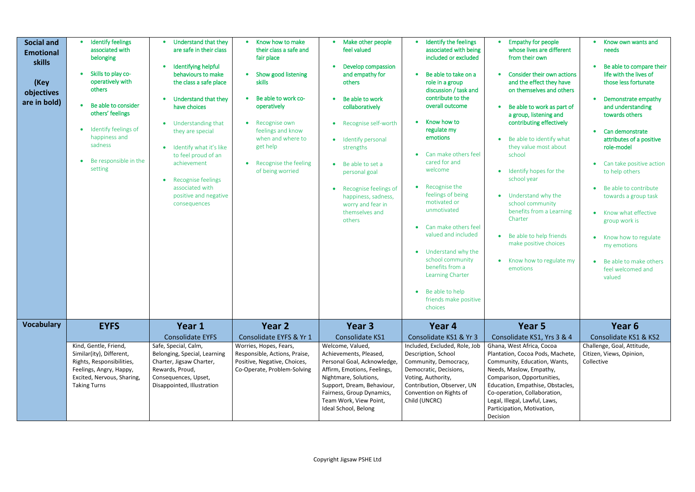| <b>Social and</b><br><b>Emotional</b><br>skills<br>(Key<br>objectives<br>are in bold) | <b>Identify feelings</b><br>associated with<br>belonging<br>Skills to play co-<br>operatively with<br>others<br>Be able to consider<br>$\bullet$<br>others' feelings<br>Identify feelings of<br>$\bullet$<br>happiness and<br>sadness<br>Be responsible in the<br>$\bullet$<br>setting | Understand that they<br>are safe in their class<br>Identifying helpful<br>behaviours to make<br>the class a safe place<br>Understand that they<br>have choices<br>Understanding that<br>they are special<br>Identify what it's like<br>to feel proud of an<br>achievement<br>Recognise feelings<br>$\bullet$<br>associated with<br>positive and negative<br>consequences | Know how to make<br>their class a safe and<br>fair place<br>Show good listening<br>skills<br>Be able to work co-<br>$\bullet$<br>operatively<br>Recognise own<br>$\bullet$<br>feelings and know<br>when and where to<br>get help<br>Recognise the feeling<br>$\bullet$<br>of being worried | Make other people<br>feel valued<br>Develop compassion<br>and empathy for<br>others<br>Be able to work<br>collaboratively<br>Recognise self-worth<br>Identify personal<br>$\bullet$<br>strengths<br>Be able to set a<br>$\bullet$<br>personal goal<br>Recognise feelings of<br>$\bullet$<br>happiness, sadness,<br>worry and fear in<br>themselves and<br>others | Identify the feelings<br>associated with being<br>included or excluded<br>Be able to take on a<br>role in a group<br>discussion / task and<br>contribute to the<br>overall outcome<br>Know how to<br>regulate my<br>emotions<br>Can make others feel<br>cared for and<br>welcome<br>Recognise the<br>$\bullet$<br>feelings of being<br>motivated or<br>unmotivated<br>Can make others feel<br>valued and included<br>Understand why the<br>school community<br>benefits from a<br>Learning Charter<br>• Be able to help<br>friends make positive<br>choices | <b>Empathy for people</b><br>whose lives are different<br>from their own<br>Consider their own actions<br>and the effect they have<br>on themselves and others<br>Be able to work as part of<br>$\bullet$<br>a group, listening and<br>contributing effectively<br>Be able to identify what<br>they value most about<br>school<br>Identify hopes for the<br>$\bullet$<br>school year<br>Understand why the<br>$\bullet$<br>school community<br>benefits from a Learning<br>Charter<br>Be able to help friends<br>make positive choices<br>Know how to regulate my<br>$\bullet$<br>emotions | Know own wants and<br>$\bullet$<br>needs<br>Be able to compare their<br>life with the lives of<br>those less fortunate<br>Demonstrate empathy<br>and understanding<br>towards others<br>Can demonstrate<br>attributes of a positive<br>role-model<br>Can take positive action<br>to help others<br>Be able to contribute<br>towards a group task<br>Know what effective<br>group work is<br>Know how to regulate<br>$\bullet$<br>my emotions<br>• Be able to make others<br>feel welcomed and<br>valued |
|---------------------------------------------------------------------------------------|----------------------------------------------------------------------------------------------------------------------------------------------------------------------------------------------------------------------------------------------------------------------------------------|--------------------------------------------------------------------------------------------------------------------------------------------------------------------------------------------------------------------------------------------------------------------------------------------------------------------------------------------------------------------------|--------------------------------------------------------------------------------------------------------------------------------------------------------------------------------------------------------------------------------------------------------------------------------------------|------------------------------------------------------------------------------------------------------------------------------------------------------------------------------------------------------------------------------------------------------------------------------------------------------------------------------------------------------------------|-------------------------------------------------------------------------------------------------------------------------------------------------------------------------------------------------------------------------------------------------------------------------------------------------------------------------------------------------------------------------------------------------------------------------------------------------------------------------------------------------------------------------------------------------------------|--------------------------------------------------------------------------------------------------------------------------------------------------------------------------------------------------------------------------------------------------------------------------------------------------------------------------------------------------------------------------------------------------------------------------------------------------------------------------------------------------------------------------------------------------------------------------------------------|---------------------------------------------------------------------------------------------------------------------------------------------------------------------------------------------------------------------------------------------------------------------------------------------------------------------------------------------------------------------------------------------------------------------------------------------------------------------------------------------------------|
| <b>Vocabulary</b>                                                                     | <b>EYFS</b>                                                                                                                                                                                                                                                                            | Year 1                                                                                                                                                                                                                                                                                                                                                                   | Year 2                                                                                                                                                                                                                                                                                     | Year 3                                                                                                                                                                                                                                                                                                                                                           | Year 4                                                                                                                                                                                                                                                                                                                                                                                                                                                                                                                                                      | Year 5                                                                                                                                                                                                                                                                                                                                                                                                                                                                                                                                                                                     | Year 6                                                                                                                                                                                                                                                                                                                                                                                                                                                                                                  |
|                                                                                       |                                                                                                                                                                                                                                                                                        | <b>Consolidate EYFS</b>                                                                                                                                                                                                                                                                                                                                                  | Consolidate EYFS & Yr 1                                                                                                                                                                                                                                                                    | Consolidate KS1                                                                                                                                                                                                                                                                                                                                                  | Consolidate KS1 & Yr 3                                                                                                                                                                                                                                                                                                                                                                                                                                                                                                                                      | Consolidate KS1, Yrs 3 & 4                                                                                                                                                                                                                                                                                                                                                                                                                                                                                                                                                                 | Consolidate KS1 & KS2                                                                                                                                                                                                                                                                                                                                                                                                                                                                                   |
|                                                                                       | Kind, Gentle, Friend,<br>Similar(ity), Different,<br>Rights, Responsibilities,<br>Feelings, Angry, Happy,<br>Excited, Nervous, Sharing,<br><b>Taking Turns</b>                                                                                                                         | Safe, Special, Calm,<br>Belonging, Special, Learning<br>Charter, Jigsaw Charter,<br>Rewards, Proud,<br>Consequences, Upset,<br>Disappointed, Illustration                                                                                                                                                                                                                | Worries, Hopes, Fears,<br>Responsible, Actions, Praise,<br>Positive, Negative, Choices,<br>Co-Operate, Problem-Solving                                                                                                                                                                     | Welcome, Valued,<br>Achievements, Pleased,<br>Personal Goal, Acknowledge,<br>Affirm, Emotions, Feelings,<br>Nightmare, Solutions,<br>Support, Dream, Behaviour,<br>Fairness, Group Dynamics,<br>Team Work, View Point,<br>Ideal School, Belong                                                                                                                   | Included, Excluded, Role, Job<br>Description, School<br>Community, Democracy,<br>Democratic, Decisions,<br>Voting, Authority,<br>Contribution, Observer, UN<br>Convention on Rights of<br>Child (UNCRC)                                                                                                                                                                                                                                                                                                                                                     | Ghana, West Africa, Cocoa<br>Plantation, Cocoa Pods, Machete,<br>Community, Education, Wants,<br>Needs, Maslow, Empathy,<br>Comparison, Opportunities,<br>Education, Empathise, Obstacles,<br>Co-operation, Collaboration,<br>Legal, Illegal, Lawful, Laws,<br>Participation, Motivation,<br>Decision                                                                                                                                                                                                                                                                                      | Challenge, Goal, Attitude,<br>Citizen, Views, Opinion,<br>Collective                                                                                                                                                                                                                                                                                                                                                                                                                                    |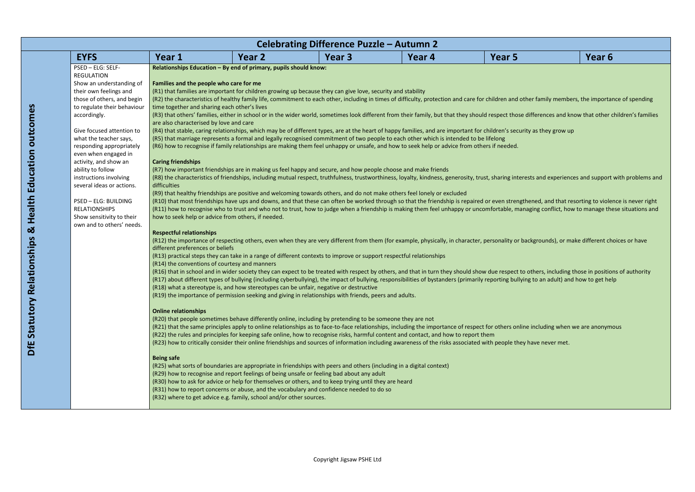- (er family members, the importance of spending
- differences and know that other children's families
- **as they grow up**
- sts and experiences and support with problems and
- ened, and that resorting to violence is never right is repaired that the friendship is repaired or even streng aging conflict, how to manage these situations and
- ckgrounds), or make different choices or have
- others, including those in positions of authority g to an adult) and how to get help
- $\theta$  including when we are anonymous
- 

|                             |                                                    |                                                                     | Celebrating Difference Puzzle - Autumn 2                                                                                                    |        |                                                                                                                                                                                        |                   |
|-----------------------------|----------------------------------------------------|---------------------------------------------------------------------|---------------------------------------------------------------------------------------------------------------------------------------------|--------|----------------------------------------------------------------------------------------------------------------------------------------------------------------------------------------|-------------------|
| <b>EYFS</b>                 | Year 1                                             | Year 2                                                              | Year 3                                                                                                                                      | Year 4 | Year 5                                                                                                                                                                                 | Year <sub>6</sub> |
| PSED - ELG: SELF-           |                                                    | Relationships Education - By end of primary, pupils should know:    |                                                                                                                                             |        |                                                                                                                                                                                        |                   |
| <b>REGULATION</b>           |                                                    |                                                                     |                                                                                                                                             |        |                                                                                                                                                                                        |                   |
| Show an understanding of    | Families and the people who care for me            |                                                                     |                                                                                                                                             |        |                                                                                                                                                                                        |                   |
| their own feelings and      |                                                    |                                                                     | (R1) that families are important for children growing up because they can give love, security and stability                                 |        |                                                                                                                                                                                        |                   |
| those of others, and begin  |                                                    |                                                                     |                                                                                                                                             |        | (R2) the characteristics of healthy family life, commitment to each other, including in times of difficulty, protection and care for children and other family members, the importa    |                   |
| to regulate their behaviour | time together and sharing each other's lives       |                                                                     |                                                                                                                                             |        |                                                                                                                                                                                        |                   |
| accordingly.                |                                                    |                                                                     |                                                                                                                                             |        | (R3) that others' families, either in school or in the wider world, sometimes look different from their family, but that they should respect those differences and know that other of  |                   |
|                             | are also characterised by love and care            |                                                                     |                                                                                                                                             |        |                                                                                                                                                                                        |                   |
| Give focused attention to   |                                                    |                                                                     |                                                                                                                                             |        | (R4) that stable, caring relationships, which may be of different types, are at the heart of happy families, and are important for children's security as they grow up                 |                   |
| what the teacher says,      |                                                    |                                                                     | (R5) that marriage represents a formal and legally recognised commitment of two people to each other which is intended to be lifelong       |        |                                                                                                                                                                                        |                   |
| responding appropriately    |                                                    |                                                                     | (R6) how to recognise if family relationships are making them feel unhappy or unsafe, and how to seek help or advice from others if needed. |        |                                                                                                                                                                                        |                   |
| even when engaged in        |                                                    |                                                                     |                                                                                                                                             |        |                                                                                                                                                                                        |                   |
| activity, and show an       | <b>Caring friendships</b>                          |                                                                     |                                                                                                                                             |        |                                                                                                                                                                                        |                   |
| ability to follow           |                                                    |                                                                     | (R7) how important friendships are in making us feel happy and secure, and how people choose and make friends                               |        |                                                                                                                                                                                        |                   |
| instructions involving      |                                                    |                                                                     |                                                                                                                                             |        | (R8) the characteristics of friendships, including mutual respect, truthfulness, trustworthiness, loyalty, kindness, generosity, trust, sharing interests and experiences and support  |                   |
| several ideas or actions.   | difficulties                                       |                                                                     |                                                                                                                                             |        |                                                                                                                                                                                        |                   |
|                             |                                                    |                                                                     | (R9) that healthy friendships are positive and welcoming towards others, and do not make others feel lonely or excluded                     |        |                                                                                                                                                                                        |                   |
| <b>PSED - ELG: BUILDING</b> |                                                    |                                                                     |                                                                                                                                             |        | (R10) that most friendships have ups and downs, and that these can often be worked through so that the friendship is repaired or even strengthened, and that resorting to viole        |                   |
| <b>RELATIONSHIPS</b>        |                                                    |                                                                     |                                                                                                                                             |        | (R11) how to recognise who to trust and who not to trust, how to judge when a friendship is making them feel unhappy or uncomfortable, managing conflict, how to manage the            |                   |
| Show sensitivity to their   | how to seek help or advice from others, if needed. |                                                                     |                                                                                                                                             |        |                                                                                                                                                                                        |                   |
| own and to others' needs.   |                                                    |                                                                     |                                                                                                                                             |        |                                                                                                                                                                                        |                   |
|                             | <b>Respectful relationships</b>                    |                                                                     |                                                                                                                                             |        |                                                                                                                                                                                        |                   |
|                             |                                                    |                                                                     |                                                                                                                                             |        | (R12) the importance of respecting others, even when they are very different from them (for example, physically, in character, personality or backgrounds), or make different ch       |                   |
|                             | different preferences or beliefs                   |                                                                     |                                                                                                                                             |        |                                                                                                                                                                                        |                   |
|                             |                                                    |                                                                     | (R13) practical steps they can take in a range of different contexts to improve or support respectful relationships                         |        |                                                                                                                                                                                        |                   |
|                             | (R14) the conventions of courtesy and manners      |                                                                     |                                                                                                                                             |        |                                                                                                                                                                                        |                   |
|                             |                                                    |                                                                     |                                                                                                                                             |        | (R16) that in school and in wider society they can expect to be treated with respect by others, and that in turn they should show due respect to others, including those in positio    |                   |
|                             |                                                    |                                                                     |                                                                                                                                             |        | (R17) about different types of bullying (including cyberbullying), the impact of bullying, responsibilities of bystanders (primarily reporting bullying to an adult) and how to get he |                   |
|                             |                                                    |                                                                     | (R18) what a stereotype is, and how stereotypes can be unfair, negative or destructive                                                      |        |                                                                                                                                                                                        |                   |
|                             |                                                    |                                                                     | (R19) the importance of permission seeking and giving in relationships with friends, peers and adults.                                      |        |                                                                                                                                                                                        |                   |
|                             | <b>Online relationships</b>                        |                                                                     |                                                                                                                                             |        |                                                                                                                                                                                        |                   |
|                             |                                                    |                                                                     | (R20) that people sometimes behave differently online, including by pretending to be someone they are not                                   |        |                                                                                                                                                                                        |                   |
|                             |                                                    |                                                                     |                                                                                                                                             |        | (R21) that the same principles apply to online relationships as to face-to-face relationships, including the importance of respect for others online including when we are anonym      |                   |
|                             |                                                    |                                                                     | (R22) the rules and principles for keeping safe online, how to recognise risks, harmful content and contact, and how to report them         |        |                                                                                                                                                                                        |                   |
|                             |                                                    |                                                                     |                                                                                                                                             |        | (R23) how to critically consider their online friendships and sources of information including awareness of the risks associated with people they have never met.                      |                   |
|                             |                                                    |                                                                     |                                                                                                                                             |        |                                                                                                                                                                                        |                   |
|                             | <b>Being safe</b>                                  |                                                                     |                                                                                                                                             |        |                                                                                                                                                                                        |                   |
|                             |                                                    |                                                                     | (R25) what sorts of boundaries are appropriate in friendships with peers and others (including in a digital context)                        |        |                                                                                                                                                                                        |                   |
|                             |                                                    |                                                                     | (R29) how to recognise and report feelings of being unsafe or feeling bad about any adult                                                   |        |                                                                                                                                                                                        |                   |
|                             |                                                    |                                                                     | (R30) how to ask for advice or help for themselves or others, and to keep trying until they are heard                                       |        |                                                                                                                                                                                        |                   |
|                             |                                                    |                                                                     | (R31) how to report concerns or abuse, and the vocabulary and confidence needed to do so                                                    |        |                                                                                                                                                                                        |                   |
|                             |                                                    | (R32) where to get advice e.g. family, school and/or other sources. |                                                                                                                                             |        |                                                                                                                                                                                        |                   |
|                             |                                                    |                                                                     |                                                                                                                                             |        |                                                                                                                                                                                        |                   |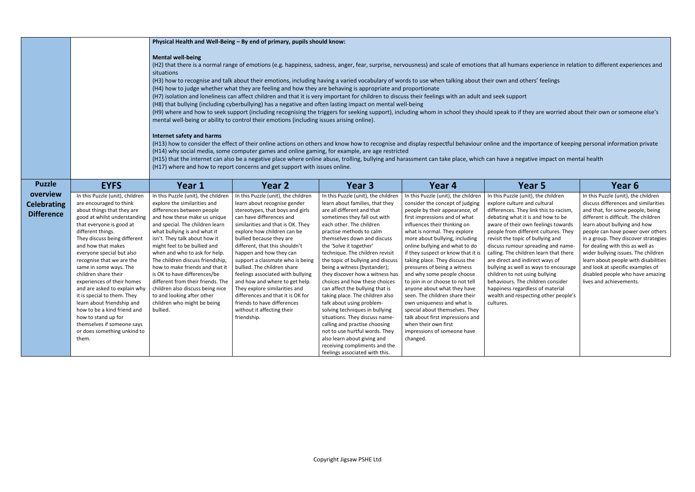- 
- 
- 
- 
- 

|                                                     |                                                                                                                                                                                                                                                                                                                                                                                                                                                                                                                                                                                                    |                                                                                                                                                                                                                                                                                                                                                                                                                                                                                                                                                                                                                                                                                                                                                                                                                                                                                                                                                                                                                                                                                                                                                                                                                                                                                                                                                                                                                                                                                                                                                                                                                                                                                                     | Physical Health and Well-Being - By end of primary, pupils should know:                                                                                                                                                                                                                                                                                                                                                                                                                                                                                                                      |                                                                                                                                                                                                                                                                                                                                                                                                                                                                                                                                                                                                                                                                                                                                                                                |                                                                                                                                                                                                                                                                                                                                                                                                                                                                                                                                                                                                                                                                                                 |                                                                                                                                                                                                                                                                                                                                                                                                                                                                                                                                                                                                    |                                                                                                                                                                                                                                                                                                                                                                                                                                                                                            |  |
|-----------------------------------------------------|----------------------------------------------------------------------------------------------------------------------------------------------------------------------------------------------------------------------------------------------------------------------------------------------------------------------------------------------------------------------------------------------------------------------------------------------------------------------------------------------------------------------------------------------------------------------------------------------------|-----------------------------------------------------------------------------------------------------------------------------------------------------------------------------------------------------------------------------------------------------------------------------------------------------------------------------------------------------------------------------------------------------------------------------------------------------------------------------------------------------------------------------------------------------------------------------------------------------------------------------------------------------------------------------------------------------------------------------------------------------------------------------------------------------------------------------------------------------------------------------------------------------------------------------------------------------------------------------------------------------------------------------------------------------------------------------------------------------------------------------------------------------------------------------------------------------------------------------------------------------------------------------------------------------------------------------------------------------------------------------------------------------------------------------------------------------------------------------------------------------------------------------------------------------------------------------------------------------------------------------------------------------------------------------------------------------|----------------------------------------------------------------------------------------------------------------------------------------------------------------------------------------------------------------------------------------------------------------------------------------------------------------------------------------------------------------------------------------------------------------------------------------------------------------------------------------------------------------------------------------------------------------------------------------------|--------------------------------------------------------------------------------------------------------------------------------------------------------------------------------------------------------------------------------------------------------------------------------------------------------------------------------------------------------------------------------------------------------------------------------------------------------------------------------------------------------------------------------------------------------------------------------------------------------------------------------------------------------------------------------------------------------------------------------------------------------------------------------|-------------------------------------------------------------------------------------------------------------------------------------------------------------------------------------------------------------------------------------------------------------------------------------------------------------------------------------------------------------------------------------------------------------------------------------------------------------------------------------------------------------------------------------------------------------------------------------------------------------------------------------------------------------------------------------------------|----------------------------------------------------------------------------------------------------------------------------------------------------------------------------------------------------------------------------------------------------------------------------------------------------------------------------------------------------------------------------------------------------------------------------------------------------------------------------------------------------------------------------------------------------------------------------------------------------|--------------------------------------------------------------------------------------------------------------------------------------------------------------------------------------------------------------------------------------------------------------------------------------------------------------------------------------------------------------------------------------------------------------------------------------------------------------------------------------------|--|
|                                                     |                                                                                                                                                                                                                                                                                                                                                                                                                                                                                                                                                                                                    | <b>Mental well-being</b><br>(H2) that there is a normal range of emotions (e.g. happiness, sadness, anger, fear, surprise, nervousness) and scale of emotions that all humans experience in relation to different experiences and<br>situations<br>(H3) how to recognise and talk about their emotions, including having a varied vocabulary of words to use when talking about their own and others' feelings<br>(H4) how to judge whether what they are feeling and how they are behaving is appropriate and proportionate<br>(H7) isolation and loneliness can affect children and that it is very important for children to discuss their feelings with an adult and seek support<br>(H8) that bullying (including cyberbullying) has a negative and often lasting impact on mental well-being<br>(H9) where and how to seek support (including recognising the triggers for seeking support), including whom in school they should speak to if they are worried about their own or someone else's<br>mental well-being or ability to control their emotions (including issues arising online).<br>Internet safety and harms<br>(H13) how to consider the effect of their online actions on others and know how to recognise and display respectful behaviour online and the importance of keeping personal information private<br>(H14) why social media, some computer games and online gaming, for example, are age restricted<br>(H15) that the internet can also be a negative place where online abuse, trolling, bullying and harassment can take place, which can have a negative impact on mental health<br>(H17) where and how to report concerns and get support with issues online. |                                                                                                                                                                                                                                                                                                                                                                                                                                                                                                                                                                                              |                                                                                                                                                                                                                                                                                                                                                                                                                                                                                                                                                                                                                                                                                                                                                                                |                                                                                                                                                                                                                                                                                                                                                                                                                                                                                                                                                                                                                                                                                                 |                                                                                                                                                                                                                                                                                                                                                                                                                                                                                                                                                                                                    |                                                                                                                                                                                                                                                                                                                                                                                                                                                                                            |  |
| <b>Puzzle</b>                                       | <b>EYFS</b>                                                                                                                                                                                                                                                                                                                                                                                                                                                                                                                                                                                        | Year 1                                                                                                                                                                                                                                                                                                                                                                                                                                                                                                                                                                                                                                                                                                                                                                                                                                                                                                                                                                                                                                                                                                                                                                                                                                                                                                                                                                                                                                                                                                                                                                                                                                                                                              | Year 2                                                                                                                                                                                                                                                                                                                                                                                                                                                                                                                                                                                       | Year 3                                                                                                                                                                                                                                                                                                                                                                                                                                                                                                                                                                                                                                                                                                                                                                         | Year 4                                                                                                                                                                                                                                                                                                                                                                                                                                                                                                                                                                                                                                                                                          | Year 5                                                                                                                                                                                                                                                                                                                                                                                                                                                                                                                                                                                             | Year 6                                                                                                                                                                                                                                                                                                                                                                                                                                                                                     |  |
| overview<br><b>Celebrating</b><br><b>Difference</b> | In this Puzzle (unit), children<br>are encouraged to think<br>about things that they are<br>good at whilst understanding<br>that everyone is good at<br>different things.<br>They discuss being different<br>and how that makes<br>everyone special but also<br>recognise that we are the<br>same in some ways. The<br>children share their<br>experiences of their homes<br>and are asked to explain why<br>it is special to them. They<br>learn about friendship and<br>how to be a kind friend and<br>how to stand up for<br>themselves if someone says<br>or does something unkind to<br>them. | In this Puzzle (unit), the children<br>explore the similarities and<br>differences between people<br>and how these make us unique<br>and special. The children learn<br>what bullying is and what it<br>isn't. They talk about how it<br>might feel to be bullied and<br>when and who to ask for help.<br>The children discuss friendship,<br>how to make friends and that it<br>is OK to have differences/be<br>different from their friends. The<br>children also discuss being nice<br>to and looking after other<br>children who might be being<br>bullied.                                                                                                                                                                                                                                                                                                                                                                                                                                                                                                                                                                                                                                                                                                                                                                                                                                                                                                                                                                                                                                                                                                                                     | In this Puzzle (unit), the children<br>learn about recognise gender<br>stereotypes, that boys and girls<br>can have differences and<br>similarities and that is OK. They<br>explore how children can be<br>bullied because they are<br>different, that this shouldn't<br>happen and how they can<br>support a classmate who is being<br>bullied. The children share<br>feelings associated with bullying<br>and how and where to get help.<br>They explore similarities and<br>differences and that it is OK for<br>friends to have differences<br>without it affecting their<br>friendship. | In this Puzzle (unit), the children<br>learn about families, that they<br>are all different and that<br>sometimes they fall out with<br>each other. The children<br>practise methods to calm<br>themselves down and discuss<br>the 'Solve it together'<br>technique. The children revisit<br>the topic of bullying and discuss<br>being a witness (bystander);<br>they discover how a witness has<br>choices and how these choices<br>can affect the bullying that is<br>taking place. The children also<br>talk about using problem-<br>solving techniques in bullying<br>situations. They discuss name-<br>calling and practise choosing<br>not to use hurtful words. They<br>also learn about giving and<br>receiving compliments and the<br>feelings associated with this. | In this Puzzle (unit), the children<br>consider the concept of judging<br>people by their appearance, of<br>first impressions and of what<br>influences their thinking on<br>what is normal. They explore<br>more about bullying, including<br>online bullying and what to do<br>if they suspect or know that it is<br>taking place. They discuss the<br>pressures of being a witness<br>and why some people choose<br>to join in or choose to not tell<br>anyone about what they have<br>seen. The children share their<br>own uniqueness and what is<br>special about themselves. They<br>talk about first impressions and<br>when their own first<br>impressions of someone have<br>changed. | In this Puzzle (unit), the children<br>explore culture and cultural<br>differences. They link this to racism,<br>debating what it is and how to be<br>aware of their own feelings towards<br>people from different cultures. They<br>revisit the topic of bullying and<br>discuss rumour spreading and name-<br>calling. The children learn that there<br>are direct and indirect ways of<br>bullying as well as ways to encourage<br>children to not using bullying<br>behaviours. The children consider<br>happiness regardless of material<br>wealth and respecting other people's<br>cultures. | In this Puzzle (unit), the children<br>discuss differences and similarities<br>and that, for some people, being<br>different is difficult. The children<br>learn about bullying and how<br>people can have power over others<br>in a group. They discover strategies<br>for dealing with this as well as<br>wider bullying issues. The children<br>learn about people with disabilities<br>and look at specific examples of<br>disabled people who have amazing<br>lives and achievements. |  |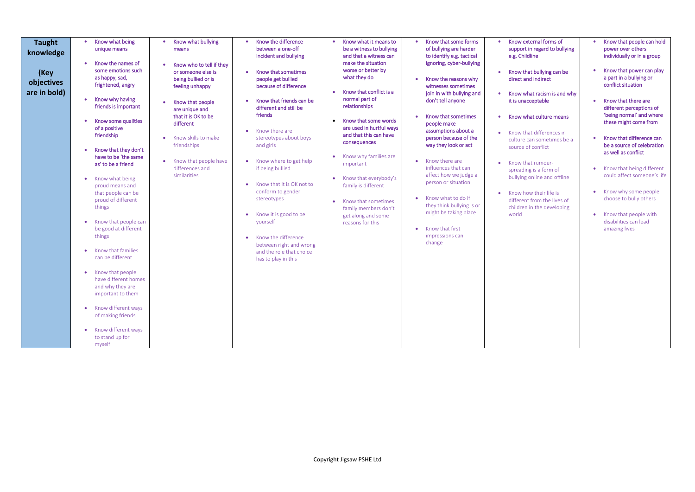- external forms of ort in regard to bullying hildline
- that bullying can be and indirect
- what racism is and why hacceptable
- what culture means
- v that differences in re can sometimes be a e of conflict
- that rumourding is a form of ng online and offline
- how their life is ent from the lives of ren in the developing

| <b>Taught</b><br>knowledge<br>(Key<br>objectives<br>are in bold) | Know what being<br>Know what bullying<br>$\bullet$<br>unique means<br>means<br>Know the names of<br>Know who to tell if they<br>$\bullet$<br>some emotions such<br>or someone else is<br>as happy, sad,<br>being bullied or is<br>frightened, angry<br>feeling unhappy<br>Know why having<br>Know that people<br>$\bullet$<br>friends is important<br>are unique and<br>that it is OK to be<br>Know some qualities<br>different<br>of a positive<br>friendship<br>Know skills to make<br>friendships<br>Know that they don't<br>have to be 'the same<br>Know that people have<br>$\bullet$<br>as' to be a friend<br>differences and<br>similarities<br>Know what being<br>proud means and<br>that people can be<br>proud of different<br>things<br>Know that people can<br>be good at different<br>things<br>Know that families<br>can be different<br>Know that people<br>۰<br>have different homes<br>and why they are<br>important to them<br>Know different ways<br>of making friends<br>Know different ways<br>to stand up for<br>myself | Know the difference<br>Know what it means to<br>$\bullet$<br>between a one-off<br>be a witness to bullying<br>incident and bullying<br>and that a witness can<br>make the situation<br>worse or better by<br>Know that sometimes<br>what they do<br>people get bullied<br>because of difference<br>Know that conflict is a<br>normal part of<br>Know that friends can be<br>relationships<br>different and still be<br>friends<br>Know that some words<br>$\bullet$<br>are used in hurtful ways<br>Know there are<br>and that this can have<br>stereotypes about boys<br>consequences<br>and girls<br>Know why families are<br>Know where to get help<br>important<br>if being bullied<br>Know that everybody's<br>Know that it is OK not to<br>family is different<br>conform to gender<br>stereotypes<br>Know that sometimes<br>family members don't<br>Know it is good to be<br>get along and some<br>yourself<br>reasons for this<br>Know the difference<br>between right and wrong<br>and the role that choice<br>has to play in this | Know that some forms<br>Know<br>$\bullet$<br>$\bullet$<br>of bullying are harder<br>suppo<br>to identify e.g. tactical<br>e.g. Ch<br>ignoring, cyber-bullying<br><b>Know</b><br>Know the reasons why<br>direct<br>witnesses sometimes<br>join in with bullying and<br>Know<br>don't tell anyone<br>it is ur<br>Know that sometimes<br>Know<br>$\bullet$<br>people make<br>assumptions about a<br>Know<br>person because of the<br>culture<br>way they look or act<br>source<br>Know there are<br>٠<br>Know<br>influences that can<br>spread<br>affect how we judge a<br>bullyir<br>person or situation<br>Know<br>Know what to do if<br>differe<br>they think bullying is or<br>childre<br>might be taking place<br>world<br>Know that first<br>impressions can<br>change |
|------------------------------------------------------------------|-----------------------------------------------------------------------------------------------------------------------------------------------------------------------------------------------------------------------------------------------------------------------------------------------------------------------------------------------------------------------------------------------------------------------------------------------------------------------------------------------------------------------------------------------------------------------------------------------------------------------------------------------------------------------------------------------------------------------------------------------------------------------------------------------------------------------------------------------------------------------------------------------------------------------------------------------------------------------------------------------------------------------------------------------|--------------------------------------------------------------------------------------------------------------------------------------------------------------------------------------------------------------------------------------------------------------------------------------------------------------------------------------------------------------------------------------------------------------------------------------------------------------------------------------------------------------------------------------------------------------------------------------------------------------------------------------------------------------------------------------------------------------------------------------------------------------------------------------------------------------------------------------------------------------------------------------------------------------------------------------------------------------------------------------------------------------------------------------------|---------------------------------------------------------------------------------------------------------------------------------------------------------------------------------------------------------------------------------------------------------------------------------------------------------------------------------------------------------------------------------------------------------------------------------------------------------------------------------------------------------------------------------------------------------------------------------------------------------------------------------------------------------------------------------------------------------------------------------------------------------------------------|
|------------------------------------------------------------------|-----------------------------------------------------------------------------------------------------------------------------------------------------------------------------------------------------------------------------------------------------------------------------------------------------------------------------------------------------------------------------------------------------------------------------------------------------------------------------------------------------------------------------------------------------------------------------------------------------------------------------------------------------------------------------------------------------------------------------------------------------------------------------------------------------------------------------------------------------------------------------------------------------------------------------------------------------------------------------------------------------------------------------------------------|--------------------------------------------------------------------------------------------------------------------------------------------------------------------------------------------------------------------------------------------------------------------------------------------------------------------------------------------------------------------------------------------------------------------------------------------------------------------------------------------------------------------------------------------------------------------------------------------------------------------------------------------------------------------------------------------------------------------------------------------------------------------------------------------------------------------------------------------------------------------------------------------------------------------------------------------------------------------------------------------------------------------------------------------|---------------------------------------------------------------------------------------------------------------------------------------------------------------------------------------------------------------------------------------------------------------------------------------------------------------------------------------------------------------------------------------------------------------------------------------------------------------------------------------------------------------------------------------------------------------------------------------------------------------------------------------------------------------------------------------------------------------------------------------------------------------------------|

- Know that people can hold power over others individually or in a group
- Know that power can play a part in a bullying or conflict situation
- Know that there are different perceptions of 'being normal' and where these might come from
- Know that difference can be a source of celebration as well as conflict
- Know that being different could affect someone's life
- Know why some people choose to bully others
- Know that people with disabilities can lead amazing lives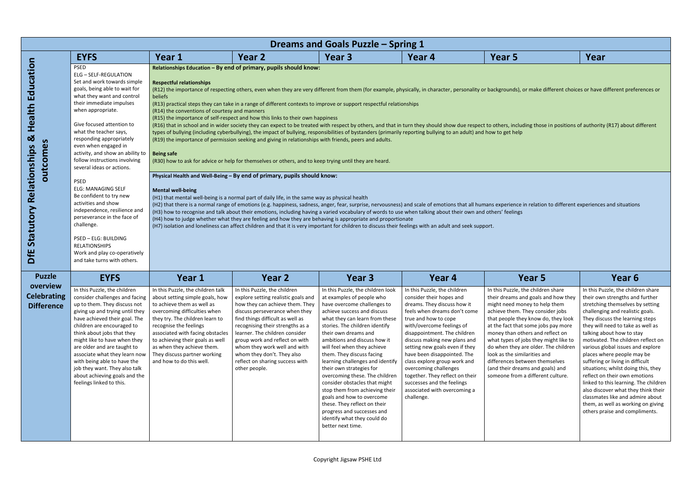make different choices or have different preferences or

ng those in positions of authority (R17) about different

|                                                     | Dreams and Goals Puzzle - Spring 1                                                                                                                                                                                                                                                                                                                                                                                                                    |                                                                                                                                                                                                                                                                                                                                                                                                                                                                                                                                                                                                                                                                                                                                                          |                                                                                                                                                                                                                                                                                                                                                                                                                                                                                                                                                                                                                                                                                                                                                |                                                                                                                                                                                                                                                                                                                                                                                                                                                                                                                                                                                                                                          |                                                                                                                                                                                                                                                                                                                                                                                                                                                                                       |                                                                                                                                                                                                                                                                                                                                                                                                                                                                                              |                                                                                                                                                                                                                                                                                                                                                                                                                                                                                                                 |  |  |  |
|-----------------------------------------------------|-------------------------------------------------------------------------------------------------------------------------------------------------------------------------------------------------------------------------------------------------------------------------------------------------------------------------------------------------------------------------------------------------------------------------------------------------------|----------------------------------------------------------------------------------------------------------------------------------------------------------------------------------------------------------------------------------------------------------------------------------------------------------------------------------------------------------------------------------------------------------------------------------------------------------------------------------------------------------------------------------------------------------------------------------------------------------------------------------------------------------------------------------------------------------------------------------------------------------|------------------------------------------------------------------------------------------------------------------------------------------------------------------------------------------------------------------------------------------------------------------------------------------------------------------------------------------------------------------------------------------------------------------------------------------------------------------------------------------------------------------------------------------------------------------------------------------------------------------------------------------------------------------------------------------------------------------------------------------------|------------------------------------------------------------------------------------------------------------------------------------------------------------------------------------------------------------------------------------------------------------------------------------------------------------------------------------------------------------------------------------------------------------------------------------------------------------------------------------------------------------------------------------------------------------------------------------------------------------------------------------------|---------------------------------------------------------------------------------------------------------------------------------------------------------------------------------------------------------------------------------------------------------------------------------------------------------------------------------------------------------------------------------------------------------------------------------------------------------------------------------------|----------------------------------------------------------------------------------------------------------------------------------------------------------------------------------------------------------------------------------------------------------------------------------------------------------------------------------------------------------------------------------------------------------------------------------------------------------------------------------------------|-----------------------------------------------------------------------------------------------------------------------------------------------------------------------------------------------------------------------------------------------------------------------------------------------------------------------------------------------------------------------------------------------------------------------------------------------------------------------------------------------------------------|--|--|--|
|                                                     | <b>EYFS</b>                                                                                                                                                                                                                                                                                                                                                                                                                                           | Year 1                                                                                                                                                                                                                                                                                                                                                                                                                                                                                                                                                                                                                                                                                                                                                   | Year 2                                                                                                                                                                                                                                                                                                                                                                                                                                                                                                                                                                                                                                                                                                                                         | Year 3                                                                                                                                                                                                                                                                                                                                                                                                                                                                                                                                                                                                                                   | Year 4                                                                                                                                                                                                                                                                                                                                                                                                                                                                                | Year 5                                                                                                                                                                                                                                                                                                                                                                                                                                                                                       | Year                                                                                                                                                                                                                                                                                                                                                                                                                                                                                                            |  |  |  |
| Education<br>Health<br><u>ଧ</u><br>S<br>outcome     | <b>PSED</b><br><b>ELG - SELF-REGULATION</b><br>Set and work towards simple<br>goals, being able to wait for<br>what they want and control<br>their immediate impulses<br>when appropriate.<br>Give focused attention to<br>what the teacher says,<br>responding appropriately<br>even when engaged in<br>activity, and show an ability to  <br>follow instructions involving<br>several ideas or actions.<br><b>PSED</b><br><b>ELG: MANAGING SELF</b> | <b>Respectful relationships</b><br>beliefs<br>(R14) the conventions of courtesy and manners<br><b>Being safe</b><br><b>Mental well-being</b>                                                                                                                                                                                                                                                                                                                                                                                                                                                                                                                                                                                                             | Relationships Education - By end of primary, pupils should know:<br>(R13) practical steps they can take in a range of different contexts to improve or support respectful relationships<br>(R15) the importance of self-respect and how this links to their own happiness<br>types of bullying (including cyberbullying), the impact of bullying, responsibilities of bystanders (primarily reporting bullying to an adult) and how to get help<br>(R19) the importance of permission seeking and giving in relationships with friends, peers and adults.<br>(R30) how to ask for advice or help for themselves or others, and to keep trying until they are heard.<br>Physical Health and Well-Being - By end of primary, pupils should know: |                                                                                                                                                                                                                                                                                                                                                                                                                                                                                                                                                                                                                                          |                                                                                                                                                                                                                                                                                                                                                                                                                                                                                       | (R12) the importance of respecting others, even when they are very different from them (for example, physically, in character, personality or backgrounds), or make different choices or have different prefe<br>(R16) that in school and in wider society they can expect to be treated with respect by others, and that in turn they should show due respect to others, including those in positions of authority (R17) about c                                                            |                                                                                                                                                                                                                                                                                                                                                                                                                                                                                                                 |  |  |  |
| <b>Statutory Relationships</b><br>DfE               | Be confident to try new<br>activities and show<br>independence, resilience and<br>perseverance in the face of<br>challenge.<br>PSED - ELG: BUILDING<br><b>RELATIONSHIPS</b><br>Work and play co-operatively<br>and take turns with others.                                                                                                                                                                                                            | (H1) that mental well-being is a normal part of daily life, in the same way as physical health<br>(H2) that there is a normal range of emotions (e.g. happiness, sadness, anger, fear, surprise, nervousness) and scale of emotions that all humans experience in relation to different experiences and situation<br>(H3) how to recognise and talk about their emotions, including having a varied vocabulary of words to use when talking about their own and others' feelings<br>(H4) how to judge whether what they are feeling and how they are behaving is appropriate and proportionate<br>(H7) isolation and loneliness can affect children and that it is very important for children to discuss their feelings with an adult and seek support. |                                                                                                                                                                                                                                                                                                                                                                                                                                                                                                                                                                                                                                                                                                                                                |                                                                                                                                                                                                                                                                                                                                                                                                                                                                                                                                                                                                                                          |                                                                                                                                                                                                                                                                                                                                                                                                                                                                                       |                                                                                                                                                                                                                                                                                                                                                                                                                                                                                              |                                                                                                                                                                                                                                                                                                                                                                                                                                                                                                                 |  |  |  |
| <b>Puzzle</b>                                       | <b>EYFS</b>                                                                                                                                                                                                                                                                                                                                                                                                                                           | Year 1                                                                                                                                                                                                                                                                                                                                                                                                                                                                                                                                                                                                                                                                                                                                                   | Year 2                                                                                                                                                                                                                                                                                                                                                                                                                                                                                                                                                                                                                                                                                                                                         | Year <sub>3</sub>                                                                                                                                                                                                                                                                                                                                                                                                                                                                                                                                                                                                                        | Year 4                                                                                                                                                                                                                                                                                                                                                                                                                                                                                | Year 5                                                                                                                                                                                                                                                                                                                                                                                                                                                                                       | Year <sub>6</sub>                                                                                                                                                                                                                                                                                                                                                                                                                                                                                               |  |  |  |
| overview<br><b>Celebrating</b><br><b>Difference</b> | In this Puzzle, the children<br>up to them. They discuss not<br>giving up and trying until they<br>have achieved their goal. The<br>children are encouraged to<br>think about jobs that they<br>might like to have when they<br>are older and are taught to<br>associate what they learn now<br>with being able to have the<br>job they want. They also talk<br>about achieving goals and the<br>feelings linked to this.                             | In this Puzzle, the children talk<br>consider challenges and facing $ $ about setting simple goals, how<br>to achieve them as well as<br>overcoming difficulties when<br>they try. The children learn to<br>recognise the feelings<br>associated with facing obstacles<br>to achieving their goals as well<br>as when they achieve them.<br>They discuss partner working<br>and how to do this well.                                                                                                                                                                                                                                                                                                                                                     | In this Puzzle, the children<br>explore setting realistic goals and<br>how they can achieve them. They<br>discuss perseverance when they<br>find things difficult as well as<br>recognising their strengths as a<br>learner. The children consider<br>group work and reflect on with<br>whom they work well and with<br>whom they don't. They also<br>reflect on sharing success with<br>other people.                                                                                                                                                                                                                                                                                                                                         | In this Puzzle, the children look<br>at examples of people who<br>have overcome challenges to<br>achieve success and discuss<br>what they can learn from these<br>stories. The children identify<br>their own dreams and<br>ambitions and discuss how it<br>will feel when they achieve<br>them. They discuss facing<br>learning challenges and identify<br>their own strategies for<br>overcoming these. The children<br>consider obstacles that might<br>stop them from achieving their<br>goals and how to overcome<br>these. They reflect on their<br>progress and successes and<br>identify what they could do<br>better next time. | In this Puzzle, the children<br>consider their hopes and<br>dreams. They discuss how it<br>feels when dreams don't come<br>true and how to cope<br>with/overcome feelings of<br>disappointment. The children<br>discuss making new plans and<br>setting new goals even if they<br>have been disappointed. The<br>class explore group work and<br>overcoming challenges<br>together. They reflect on their<br>successes and the feelings<br>associated with overcoming a<br>challenge. | In this Puzzle, the children share<br>their dreams and goals and how they<br>might need money to help them<br>achieve them. They consider jobs<br>that people they know do, they look<br>at the fact that some jobs pay more<br>money than others and reflect on<br>what types of jobs they might like to<br>do when they are older. The children<br>look as the similarities and<br>differences between themselves<br>(and their dreams and goals) and<br>someone from a different culture. | In this Puzzle, the childr<br>their own strengths and<br>stretching themselves b<br>challenging and realistio<br>They discuss the learnir<br>they will need to take a<br>talking about how to st<br>motivated. The childrer<br>various global issues an<br>places where people m<br>suffering or living in diff<br>situations; whilst doing<br>reflect on their own em<br>linked to this learning. 1<br>also discover what they<br>classmates like and adn<br>them, as well as workin<br>others praise and comp |  |  |  |

In this Puzzle, the children share their own strengths and further stretching themselves by setting challenging and realistic goals. They discuss the learning steps they will need to take as well as talking about how to stay motivated. The children reflect on various global issues and explore places where people may be suffering or living in difficult situations; whilst doing this, they reflect on their own emotions linked to this learning. The children also discover what they think their classmates like and admire about them, as well as working on giving others praise and compliments.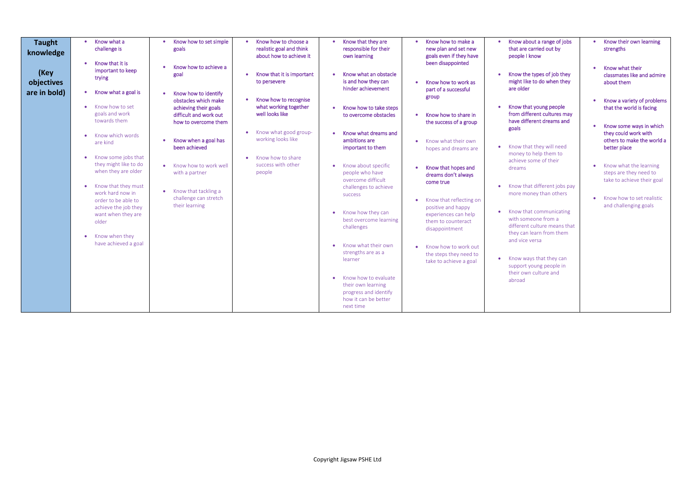- 
- 
- 
- 
- 
- 

| <b>Taught</b><br>knowledge         | Know what a<br>challenge is<br>Know that it is<br>$\bullet$                      | Know how to set simple<br>goals<br>Know how to achieve a                | Know how to choose a<br>realistic goal and think<br>about how to achieve it | Know that they are<br>responsible for their<br>own learning                                              | Know how to make a<br>new plan and set new<br>goals even if they have<br>been disappointed | Know about a range of jobs<br>that are carried out by<br>people I know                            |
|------------------------------------|----------------------------------------------------------------------------------|-------------------------------------------------------------------------|-----------------------------------------------------------------------------|----------------------------------------------------------------------------------------------------------|--------------------------------------------------------------------------------------------|---------------------------------------------------------------------------------------------------|
| (Key<br>objectives<br>are in bold) | important to keep<br>trying<br>Know what a goal is<br>$\bullet$                  | goal<br>Know how to identify<br>obstacles which make                    | Know that it is important<br>to persevere<br>Know how to recognise          | Know what an obstacle<br>is and how they can<br>hinder achievement                                       | Know how to work as<br>part of a successful<br>group                                       | Know the types of job they<br>might like to do when they<br>are older                             |
|                                    | Know how to set<br>$\bullet$<br>goals and work<br>towards them                   | achieving their goals<br>difficult and work out<br>how to overcome them | what working together<br>well looks like<br>Know what good group-           | Know how to take steps<br>to overcome obstacles                                                          | Know how to share in<br>the success of a group                                             | Know that young people<br>from different cultures may<br>have different dreams and<br>goals       |
|                                    | Know which words<br>$\bullet$<br>are kind<br>Know some jobs that<br>$\bullet$    | Know when a goal has<br>been achieved                                   | working looks like<br>Know how to share                                     | Know what dreams and<br>ambitions are<br>important to them                                               | Know what their own<br>hopes and dreams are                                                | Know that they will need<br>money to help them to                                                 |
|                                    | they might like to do<br>when they are older<br>Know that they must<br>$\bullet$ | Know how to work well<br>with a partner                                 | success with other<br>people                                                | Know about specific<br>people who have<br>overcome difficult<br>challenges to achieve                    | Know that hopes and<br>dreams don't always<br>come true                                    | achieve some of their<br>dreams<br>Know that different jobs pay<br>$\bullet$                      |
|                                    | work hard now in<br>order to be able to<br>achieve the job they                  | Know that tackling a<br>challenge can stretch<br>their learning         |                                                                             | <b>SUCCESS</b><br>Know how they can<br>$\bullet$                                                         | Know that reflecting on<br>positive and happy                                              | more money than others<br>Know that communicating                                                 |
|                                    | want when they are<br>older<br>Know when they<br>$\bullet$                       |                                                                         |                                                                             | best overcome learning<br>challenges                                                                     | experiences can help<br>them to counteract<br>disappointment                               | with someone from a<br>different culture means that<br>they can learn from them<br>and vice versa |
|                                    | have achieved a goal                                                             |                                                                         |                                                                             | Know what their own<br>strengths are as a<br>learner                                                     | Know how to work out<br>the steps they need to<br>take to achieve a goal                   | Know ways that they can<br>support young people in                                                |
|                                    |                                                                                  |                                                                         |                                                                             | Know how to evaluate<br>their own learning<br>progress and identify<br>how it can be better<br>next time |                                                                                            | their own culture and<br>abroad                                                                   |

- Know their own learning strengths
- Know what their classmates like and admire about them
- Know a variety of problems that the world is facing
- Know some ways in which they could work with others to make the world a better place
- Know what the learning steps are they need to take to achieve their goal
- Know how to set realistic and challenging goals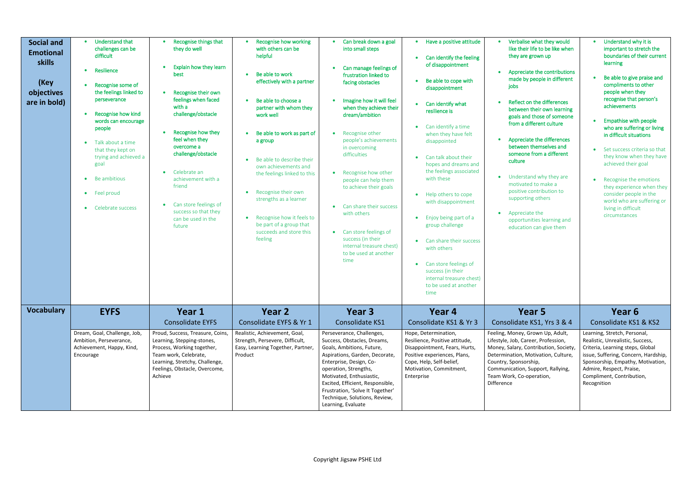| <b>Social and</b><br><b>Emotional</b><br><b>skills</b><br>(Key<br>objectives<br>are in bold) | <b>Understand that</b><br>$\bullet$<br>challenges can be<br>difficult<br>Resilience<br>Recognise some of<br>the feelings linked to<br>perseverance<br>Recognise how kind<br>$\bullet$<br>words can encourage<br>people<br>Talk about a time<br>$\bullet$<br>that they kept on<br>trying and achieved a<br>goal<br>Be ambitious<br>$\bullet$<br>Feel proud<br>$\bullet$<br>Celebrate success<br>$\bullet$ | Recognise things that<br>they do well<br>Explain how they learn<br>best<br>Recognise their own<br>feelings when faced<br>with a<br>challenge/obstacle<br>Recognise how they<br>$\bullet$<br>feel when they<br>overcome a<br>challenge/obstacle<br>Celebrate an<br>$\bullet$<br>achievement with a<br>friend<br>Can store feelings of<br>$\bullet$<br>success so that they<br>can be used in the<br>future | Recognise how working<br>with others can be<br>helpful<br>Be able to work<br>effectively with a partner<br>Be able to choose a<br>partner with whom they<br>work well<br>Be able to work as part of<br>a group<br>Be able to describe their<br>own achievements and<br>the feelings linked to this<br>Recognise their own<br>strengths as a learner<br>Recognise how it feels to<br>be part of a group that<br>succeeds and store this<br>feeling | Can break down a goal<br>into small steps<br>Can manage feelings of<br>frustration linked to<br>facing obstacles<br>Imagine how it will feel<br>when they achieve their<br>dream/ambition<br>Recognise other<br>people's achievements<br>in overcoming<br>difficulties<br>• Recognise how other<br>people can help them<br>to achieve their goals<br>Can share their success<br>$\bullet$<br>with others<br>• Can store feelings of<br>success (in their<br>internal treasure chest)<br>to be used at another<br>time | Have a positive attitude<br>Can identify the feeling<br>of disappointment<br>Be able to cope with<br>disappointment<br>Can identify what<br>resilience is<br>Can identify a time<br>when they have felt<br>disappointed<br>Can talk about their<br>hopes and dreams and<br>the feelings associated<br>with these<br>Help others to cope<br>$\bullet$<br>with disappointment<br>Enjoy being part of a<br>group challenge<br>Can share their success<br>$\bullet$<br>with others<br>Can store feelings of<br>$\bullet$<br>success (in their | Verbalise what they would<br>like their life to be like when<br>they are grown up<br>Appreciate the contributions<br>made by people in different<br>jobs<br>Reflect on the differences<br>between their own learning<br>goals and those of someone<br>from a different culture<br>Appreciate the differences<br>between themselves and<br>someone from a different<br>culture<br>• Understand why they are<br>motivated to make a<br>positive contribution to<br>supporting others<br>• Appreciate the<br>opportunities learning and<br>education can give them | Understand why it is<br>important to stretch the<br>boundaries of their current<br>learning<br>Be able to give praise and<br>compliments to other<br>people when they<br>recognise that person's<br>achievements<br><b>Empathise with people</b><br>who are suffering or living<br>in difficult situations<br>Set success criteria so that<br>they know when they have<br>achieved their goal<br>Recognise the emotions<br>they experience when they<br>consider people in the<br>world who are suffering or<br>living in difficult<br>circumstances |
|----------------------------------------------------------------------------------------------|----------------------------------------------------------------------------------------------------------------------------------------------------------------------------------------------------------------------------------------------------------------------------------------------------------------------------------------------------------------------------------------------------------|-----------------------------------------------------------------------------------------------------------------------------------------------------------------------------------------------------------------------------------------------------------------------------------------------------------------------------------------------------------------------------------------------------------|---------------------------------------------------------------------------------------------------------------------------------------------------------------------------------------------------------------------------------------------------------------------------------------------------------------------------------------------------------------------------------------------------------------------------------------------------|-----------------------------------------------------------------------------------------------------------------------------------------------------------------------------------------------------------------------------------------------------------------------------------------------------------------------------------------------------------------------------------------------------------------------------------------------------------------------------------------------------------------------|-------------------------------------------------------------------------------------------------------------------------------------------------------------------------------------------------------------------------------------------------------------------------------------------------------------------------------------------------------------------------------------------------------------------------------------------------------------------------------------------------------------------------------------------|-----------------------------------------------------------------------------------------------------------------------------------------------------------------------------------------------------------------------------------------------------------------------------------------------------------------------------------------------------------------------------------------------------------------------------------------------------------------------------------------------------------------------------------------------------------------|------------------------------------------------------------------------------------------------------------------------------------------------------------------------------------------------------------------------------------------------------------------------------------------------------------------------------------------------------------------------------------------------------------------------------------------------------------------------------------------------------------------------------------------------------|
| <b>Vocabulary</b>                                                                            | <b>EYFS</b>                                                                                                                                                                                                                                                                                                                                                                                              | Year 1                                                                                                                                                                                                                                                                                                                                                                                                    | Year 2                                                                                                                                                                                                                                                                                                                                                                                                                                            | Year 3                                                                                                                                                                                                                                                                                                                                                                                                                                                                                                                | internal treasure chest)<br>to be used at another<br>time<br>Year 4                                                                                                                                                                                                                                                                                                                                                                                                                                                                       | Year 5                                                                                                                                                                                                                                                                                                                                                                                                                                                                                                                                                          | Year 6                                                                                                                                                                                                                                                                                                                                                                                                                                                                                                                                               |
|                                                                                              |                                                                                                                                                                                                                                                                                                                                                                                                          | <b>Consolidate EYFS</b>                                                                                                                                                                                                                                                                                                                                                                                   | Consolidate EYFS & Yr 1                                                                                                                                                                                                                                                                                                                                                                                                                           | <b>Consolidate KS1</b>                                                                                                                                                                                                                                                                                                                                                                                                                                                                                                | Consolidate KS1 & Yr 3                                                                                                                                                                                                                                                                                                                                                                                                                                                                                                                    | Consolidate KS1, Yrs 3 & 4                                                                                                                                                                                                                                                                                                                                                                                                                                                                                                                                      | Consolidate KS1 & KS2                                                                                                                                                                                                                                                                                                                                                                                                                                                                                                                                |
|                                                                                              | Dream, Goal, Challenge, Job,<br>Ambition, Perseverance,<br>Achievement, Happy, Kind,<br>Encourage                                                                                                                                                                                                                                                                                                        | Proud, Success, Treasure, Coins,<br>Learning, Stepping-stones,<br>Process, Working together,<br>Team work, Celebrate,<br>Learning, Stretchy, Challenge,<br>Feelings, Obstacle, Overcome,<br>Achieve                                                                                                                                                                                                       | Realistic, Achievement, Goal,<br>Strength, Persevere, Difficult,<br>Easy, Learning Together, Partner,<br>Product                                                                                                                                                                                                                                                                                                                                  | Perseverance, Challenges,<br>Success, Obstacles, Dreams,<br>Goals, Ambitions, Future,<br>Aspirations, Garden, Decorate,<br>Enterprise, Design, Co-<br>operation, Strengths,<br>Motivated, Enthusiastic,<br>Excited, Efficient, Responsible,<br>Frustration, 'Solve It Together'<br>Technique, Solutions, Review,<br>Learning, Evaluate                                                                                                                                                                                | Hope, Determination,<br>Resilience, Positive attitude,<br>Disappointment, Fears, Hurts,<br>Positive experiences, Plans,<br>Cope, Help, Self-belief,<br>Motivation, Commitment,<br>Enterprise                                                                                                                                                                                                                                                                                                                                              | Feeling, Money, Grown Up, Adult,<br>Lifestyle, Job, Career, Profession,<br>Money, Salary, Contribution, Society,<br>Determination, Motivation, Culture,<br>Country, Sponsorship,<br>Communication, Support, Rallying,<br>Team Work, Co-operation,<br>Difference                                                                                                                                                                                                                                                                                                 | Learning, Stretch, Personal,<br>Realistic, Unrealistic, Success,<br>Criteria, Learning steps, Global<br>issue, Suffering, Concern, Hardship,<br>Sponsorship, Empathy, Motivation,<br>Admire, Respect, Praise,<br>Compliment, Contribution,<br>Recognition                                                                                                                                                                                                                                                                                            |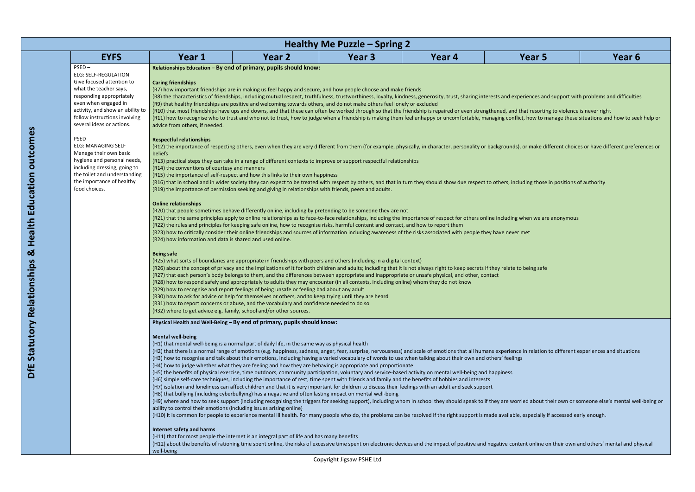|                                                                                                                                                                                                                                                      |                                                                                                                                                                                                              |                                                                                                                                                                                                                                                                                                                                                                                                                                                                                                                                                                                                                                                                                                                                                                                                                                                                                                                                                                                                                                                                                                                                                                                                                                                                                                                                                                                                                                                                                                                                                                                                                                                | Healthy Me Puzzle – Spring 2 |        |                                                                                                                                                                                                                                                                                                                                                                                                                                                                                                                                                                                                                                               |        |
|------------------------------------------------------------------------------------------------------------------------------------------------------------------------------------------------------------------------------------------------------|--------------------------------------------------------------------------------------------------------------------------------------------------------------------------------------------------------------|------------------------------------------------------------------------------------------------------------------------------------------------------------------------------------------------------------------------------------------------------------------------------------------------------------------------------------------------------------------------------------------------------------------------------------------------------------------------------------------------------------------------------------------------------------------------------------------------------------------------------------------------------------------------------------------------------------------------------------------------------------------------------------------------------------------------------------------------------------------------------------------------------------------------------------------------------------------------------------------------------------------------------------------------------------------------------------------------------------------------------------------------------------------------------------------------------------------------------------------------------------------------------------------------------------------------------------------------------------------------------------------------------------------------------------------------------------------------------------------------------------------------------------------------------------------------------------------------------------------------------------------------|------------------------------|--------|-----------------------------------------------------------------------------------------------------------------------------------------------------------------------------------------------------------------------------------------------------------------------------------------------------------------------------------------------------------------------------------------------------------------------------------------------------------------------------------------------------------------------------------------------------------------------------------------------------------------------------------------------|--------|
| <b>EYFS</b>                                                                                                                                                                                                                                          | Year 1                                                                                                                                                                                                       | Year 2                                                                                                                                                                                                                                                                                                                                                                                                                                                                                                                                                                                                                                                                                                                                                                                                                                                                                                                                                                                                                                                                                                                                                                                                                                                                                                                                                                                                                                                                                                                                                                                                                                         | Year <sub>3</sub>            | Year 4 | Year 5                                                                                                                                                                                                                                                                                                                                                                                                                                                                                                                                                                                                                                        | Year 6 |
| $PSED -$<br><b>ELG: SELF-REGULATION</b><br>Give focused attention to<br>what the teacher says,<br>responding appropriately<br>even when engaged in<br>activity, and show an ability to<br>follow instructions involving<br>several ideas or actions. | <b>Caring friendships</b><br>advice from others, if needed.                                                                                                                                                  | Relationships Education - By end of primary, pupils should know:<br>(R7) how important friendships are in making us feel happy and secure, and how people choose and make friends<br>(R9) that healthy friendships are positive and welcoming towards others, and do not make others feel lonely or excluded                                                                                                                                                                                                                                                                                                                                                                                                                                                                                                                                                                                                                                                                                                                                                                                                                                                                                                                                                                                                                                                                                                                                                                                                                                                                                                                                   |                              |        | (R8) the characteristics of friendships, including mutual respect, truthfulness, trustworthiness, loyalty, kindness, generosity, trust, sharing interests and experiences and support with problems and difficulties<br>(R10) that most friendships have ups and downs, and that these can often be worked through so that the friendship is repaired or even strengthened, and that resorting to violence is never right<br>(R11) how to recognise who to trust and who not to trust, how to judge when a friendship is making them feel unhappy or uncomfortable, managing conflict, how to manage these situations and how to seek help or |        |
| PSED<br><b>ELG: MANAGING SELF</b><br>Manage their own basic<br>hygiene and personal needs,<br>including dressing, going to<br>the toilet and understanding<br>the importance of healthy<br>food choices.                                             | <b>Respectful relationships</b><br>beliefs<br>(R14) the conventions of courtesy and manners<br><b>Online relationships</b><br>(R24) how information and data is shared and used online.<br><b>Being safe</b> | (R13) practical steps they can take in a range of different contexts to improve or support respectful relationships<br>(R15) the importance of self-respect and how this links to their own happiness<br>(R19) the importance of permission seeking and giving in relationships with friends, peers and adults.<br>(R20) that people sometimes behave differently online, including by pretending to be someone they are not<br>(R22) the rules and principles for keeping safe online, how to recognise risks, harmful content and contact, and how to report them<br>(R23) how to critically consider their online friendships and sources of information including awareness of the risks associated with people they have never met<br>(R25) what sorts of boundaries are appropriate in friendships with peers and others (including in a digital context)<br>(R26) about the concept of privacy and the implications of it for both children and adults; including that it is not always right to keep secrets if they relate to being safe<br>(R27) that each person's body belongs to them, and the differences between appropriate and inappropriate or unsafe physical, and other, contact<br>(R28) how to respond safely and appropriately to adults they may encounter (in all contexts, including online) whom they do not know<br>(R29) how to recognise and report feelings of being unsafe or feeling bad about any adult<br>(R30) how to ask for advice or help for themselves or others, and to keep trying until they are heard<br>(R31) how to report concerns or abuse, and the vocabulary and confidence needed to do so |                              |        | (R12) the importance of respecting others, even when they are very different from them (for example, physically, in character, personality or backgrounds), or make different choices or have different preferences or<br>(R16) that in school and in wider society they can expect to be treated with respect by others, and that in turn they should show due respect to others, including those in positions of authority<br>(R21) that the same principles apply to online relationships as to face-to-face relationships, including the importance of respect for others online including when we are anonymous                          |        |
|                                                                                                                                                                                                                                                      | (R32) where to get advice e.g. family, school and/or other sources.                                                                                                                                          | Physical Health and Well-Being - By end of primary, pupils should know:                                                                                                                                                                                                                                                                                                                                                                                                                                                                                                                                                                                                                                                                                                                                                                                                                                                                                                                                                                                                                                                                                                                                                                                                                                                                                                                                                                                                                                                                                                                                                                        |                              |        |                                                                                                                                                                                                                                                                                                                                                                                                                                                                                                                                                                                                                                               |        |
|                                                                                                                                                                                                                                                      | <b>Mental well-being</b><br>ability to control their emotions (including issues arising online)                                                                                                              | (H1) that mental well-being is a normal part of daily life, in the same way as physical health<br>(H3) how to recognise and talk about their emotions, including having a varied vocabulary of words to use when talking about their own and others' feelings<br>(H4) how to judge whether what they are feeling and how they are behaving is appropriate and proportionate<br>(H5) the benefits of physical exercise, time outdoors, community participation, voluntary and service-based activity on mental well-being and happiness<br>(H6) simple self-care techniques, including the importance of rest, time spent with friends and family and the benefits of hobbies and interests<br>(H7) isolation and loneliness can affect children and that it is very important for children to discuss their feelings with an adult and seek support<br>(H8) that bullying (including cyberbullying) has a negative and often lasting impact on mental well-being                                                                                                                                                                                                                                                                                                                                                                                                                                                                                                                                                                                                                                                                               |                              |        | (H2) that there is a normal range of emotions (e.g. happiness, sadness, anger, fear, surprise, nervousness) and scale of emotions that all humans experience in relation to different experiences and situations<br>(H9) where and how to seek support (including recognising the triggers for seeking support), including whom in school they should speak to if they are worried about their own or someone else's mental well-being or<br>(H10) it is common for people to experience mental ill health. For many people who do, the problems can be resolved if the right support is made available, especially if accessed early enough. |        |
|                                                                                                                                                                                                                                                      | Internet safety and harms<br>well-being                                                                                                                                                                      | (H11) that for most people the internet is an integral part of life and has many benefits                                                                                                                                                                                                                                                                                                                                                                                                                                                                                                                                                                                                                                                                                                                                                                                                                                                                                                                                                                                                                                                                                                                                                                                                                                                                                                                                                                                                                                                                                                                                                      |                              |        | (H12) about the benefits of rationing time spent online, the risks of excessive time spent on electronic devices and the impact of positive and negative content online on their own and others' mental and physical                                                                                                                                                                                                                                                                                                                                                                                                                          |        |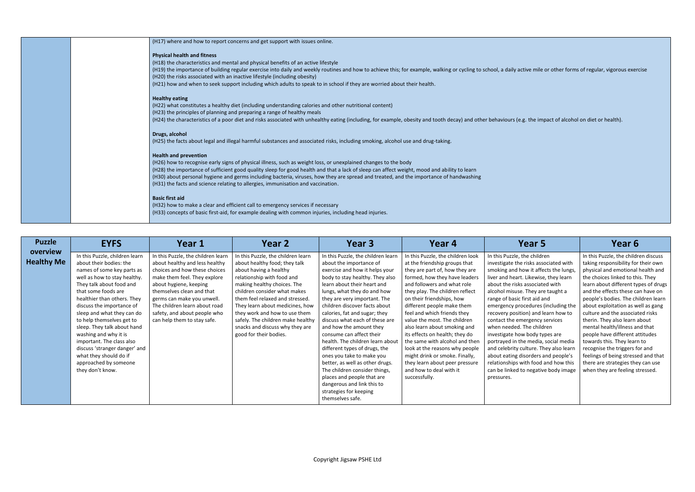ve mile or other forms of regular, vigorous exercise

the impact of alcohol on diet or health).

|  | (H17) where and how to report concerns and get support with issues online.                                                                                         |
|--|--------------------------------------------------------------------------------------------------------------------------------------------------------------------|
|  | <b>Physical health and fitness</b>                                                                                                                                 |
|  | (H18) the characteristics and mental and physical benefits of an active lifestyle                                                                                  |
|  | (H19) the importance of building regular exercise into daily and weekly routines and how to achieve this; for example, walking or cycling to school, a daily activ |
|  | (H20) the risks associated with an inactive lifestyle (including obesity)                                                                                          |
|  | (H21) how and when to seek support including which adults to speak to in school if they are worried about their health.                                            |
|  | <b>Healthy eating</b>                                                                                                                                              |
|  | (H22) what constitutes a healthy diet (including understanding calories and other nutritional content)                                                             |
|  | (H23) the principles of planning and preparing a range of healthy meals                                                                                            |
|  | (H24) the characteristics of a poor diet and risks associated with unhealthy eating (including, for example, obesity and tooth decay) and other behaviours (e.g.   |
|  |                                                                                                                                                                    |
|  | Drugs, alcohol                                                                                                                                                     |
|  | (H25) the facts about legal and illegal harmful substances and associated risks, including smoking, alcohol use and drug-taking.                                   |
|  | <b>Health and prevention</b>                                                                                                                                       |
|  |                                                                                                                                                                    |
|  | (H26) how to recognise early signs of physical illness, such as weight loss, or unexplained changes to the body                                                    |
|  | (H28) the importance of sufficient good quality sleep for good health and that a lack of sleep can affect weight, mood and ability to learn                        |
|  | (H30) about personal hygiene and germs including bacteria, viruses, how they are spread and treated, and the importance of handwashing                             |
|  | (H31) the facts and science relating to allergies, immunisation and vaccination.                                                                                   |
|  | <b>Basic first aid</b>                                                                                                                                             |
|  | (H32) how to make a clear and efficient call to emergency services if necessary                                                                                    |
|  | (H33) concepts of basic first-aid, for example dealing with common injuries, including head injuries.                                                              |
|  |                                                                                                                                                                    |

### e children isks associated with v it affects the lungs, ikewise, they learn ssociated with They are taught a st aid and edures (including the n) and learn how to rgency services ne children body types are media, social media ture. They also learn orders and people's In this Puzzle, the children discuss taking responsibility for their own physical and emotional health and the choices linked to this. They learn about different types of drugs and the effects these can have on people's bodies. The children learn about exploitation as well as gang culture and the associated risks therin. They also learn about mental health/illness and that people have different attitudes towards this. They learn to

| <b>Puzzle</b>                 | <b>EYFS</b>                                                                                                                                                                                                                                                                                                                                                                                                                                                                                    | Year 1                                                                                                                                                                                                                                                                                                                     | Year 2                                                                                                                                                                                                                                                                                                                                                                                              | Year 3                                                                                                                                                                                                                                                                                                                                                                                                                                                                                                                                                                                                                                                                      | Year 4                                                                                                                                                                                                                                                                                                                                                                                                                                                                                                                                                                                  | Year 5                                                                                                                                                                                                                                                                                                                                                                                                                                                                                                                                                                                                                                                                | Year <sub>6</sub>                                                                                                                                                                                                                                                                                                                                                                                                                                                                        |
|-------------------------------|------------------------------------------------------------------------------------------------------------------------------------------------------------------------------------------------------------------------------------------------------------------------------------------------------------------------------------------------------------------------------------------------------------------------------------------------------------------------------------------------|----------------------------------------------------------------------------------------------------------------------------------------------------------------------------------------------------------------------------------------------------------------------------------------------------------------------------|-----------------------------------------------------------------------------------------------------------------------------------------------------------------------------------------------------------------------------------------------------------------------------------------------------------------------------------------------------------------------------------------------------|-----------------------------------------------------------------------------------------------------------------------------------------------------------------------------------------------------------------------------------------------------------------------------------------------------------------------------------------------------------------------------------------------------------------------------------------------------------------------------------------------------------------------------------------------------------------------------------------------------------------------------------------------------------------------------|-----------------------------------------------------------------------------------------------------------------------------------------------------------------------------------------------------------------------------------------------------------------------------------------------------------------------------------------------------------------------------------------------------------------------------------------------------------------------------------------------------------------------------------------------------------------------------------------|-----------------------------------------------------------------------------------------------------------------------------------------------------------------------------------------------------------------------------------------------------------------------------------------------------------------------------------------------------------------------------------------------------------------------------------------------------------------------------------------------------------------------------------------------------------------------------------------------------------------------------------------------------------------------|------------------------------------------------------------------------------------------------------------------------------------------------------------------------------------------------------------------------------------------------------------------------------------------------------------------------------------------------------------------------------------------------------------------------------------------------------------------------------------------|
| overview<br><b>Healthy Me</b> | In this Puzzle, children learn<br>about their bodies: the<br>names of some key parts as<br>well as how to stay healthy.<br>They talk about food and<br>that some foods are<br>healthier than others. They<br>discuss the importance of<br>sleep and what they can do<br>to help themselves get to<br>sleep. They talk about hand<br>washing and why it is<br>important. The class also<br>discuss 'stranger danger' and<br>what they should do if<br>approached by someone<br>they don't know. | In this Puzzle, the children learn<br>about healthy and less healthy<br>choices and how these choices<br>make them feel. They explore<br>about hygiene, keeping<br>themselves clean and that<br>germs can make you unwell.<br>The children learn about road<br>safety, and about people who<br>can help them to stay safe. | In this Puzzle, the children learn<br>about healthy food; they talk<br>about having a healthy<br>relationship with food and<br>making healthy choices. The<br>children consider what makes<br>them feel relaxed and stressed.<br>They learn about medicines, how<br>they work and how to use them<br>safely. The children make healthy<br>snacks and discuss why they are<br>good for their bodies. | In this Puzzle, the children learn<br>about the importance of<br>exercise and how it helps your<br>body to stay healthy. They also<br>learn about their heart and<br>lungs, what they do and how<br>they are very important. The<br>children discover facts about<br>calories, fat and sugar; they<br>discuss what each of these are<br>and how the amount they<br>consume can affect their<br>health. The children learn about<br>different types of drugs, the<br>ones you take to make you<br>better, as well as other drugs.<br>The children consider things,<br>places and people that are<br>dangerous and link this to<br>strategies for keeping<br>themselves safe. | In this Puzzle, the children look<br>at the friendship groups that<br>they are part of, how they are<br>formed, how they have leaders<br>and followers and what role<br>they play. The children reflect<br>on their friendships, how<br>different people make them<br>feel and which friends they<br>value the most. The children<br>also learn about smoking and<br>its effects on health; they do<br>the same with alcohol and then<br>look at the reasons why people<br>might drink or smoke. Finally,<br>they learn about peer pressure<br>and how to deal with it<br>successfully. | In this Puzzle, the children<br>investigate the risks associated with<br>smoking and how it affects the lungs,<br>liver and heart. Likewise, they learn<br>about the risks associated with<br>alcohol misuse. They are taught a<br>range of basic first aid and<br>emergency procedures (including the<br>recovery position) and learn how to<br>contact the emergency services<br>when needed. The children<br>investigate how body types are<br>portrayed in the media, social media<br>and celebrity culture. They also learn<br>about eating disorders and people's<br>relationships with food and how this<br>can be linked to negative body image<br>pressures. | In this Puzzle, the childr<br>taking responsibility for<br>physical and emotional<br>the choices linked to th<br>learn about different ty<br>and the effects these ca<br>people's bodies. The ch<br>about exploitation as w<br>culture and the associat<br>therin. They also learn a<br>mental health/illness ar<br>people have different a<br>towards this. They learn<br>recognise the triggers fo<br>feelings of being stresse<br>there are strategies the<br>when they are feeling s |

recognise the triggers for and feelings of being stressed and that there are strategies they can use when they are feeling stressed.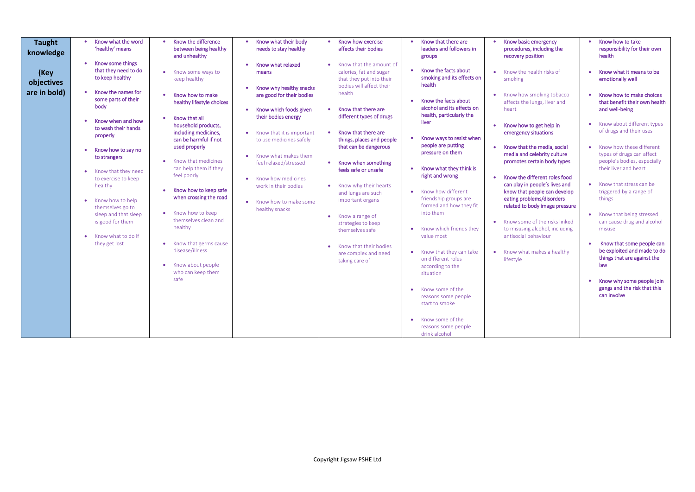| <b>Taught</b><br>knowledge         | Know what the word<br>'healthy' means                                                                                                                                                                                                            | Know the difference<br>between being healthy<br>and unhealthy                                                                                                                                                                                                       | Know what their body<br>needs to stay healthy                                                                                                                                               | Know how exercise<br>affects their bodies                                                                                                                                                                                                                         | Know that there are<br>leaders and followers in<br>groups                                                                                                                                                                                                                                                                                             | Know basic emergency<br>procedures, including the<br>recovery position                                                                                                                                                                                                                                                                                                           | Know how to take<br>$\bullet$<br>responsibility for their own<br>health                                                                                                                                                                                                                                                                                                                             |
|------------------------------------|--------------------------------------------------------------------------------------------------------------------------------------------------------------------------------------------------------------------------------------------------|---------------------------------------------------------------------------------------------------------------------------------------------------------------------------------------------------------------------------------------------------------------------|---------------------------------------------------------------------------------------------------------------------------------------------------------------------------------------------|-------------------------------------------------------------------------------------------------------------------------------------------------------------------------------------------------------------------------------------------------------------------|-------------------------------------------------------------------------------------------------------------------------------------------------------------------------------------------------------------------------------------------------------------------------------------------------------------------------------------------------------|----------------------------------------------------------------------------------------------------------------------------------------------------------------------------------------------------------------------------------------------------------------------------------------------------------------------------------------------------------------------------------|-----------------------------------------------------------------------------------------------------------------------------------------------------------------------------------------------------------------------------------------------------------------------------------------------------------------------------------------------------------------------------------------------------|
| (Key<br>objectives<br>are in bold) | Know some things<br>that they need to do<br>to keep healthy<br>Know the names for<br>some parts of their<br>body<br>Know when and how<br>to wash their hands<br>properly                                                                         | Know some ways to<br>keep healthy<br>Know how to make<br>healthy lifestyle choices<br>Know that all<br>household products,<br>including medicines,<br>can be harmful if not<br>used properly                                                                        | Know what relaxed<br>means<br>Know why healthy snacks<br>are good for their bodies<br>Know which foods given<br>their bodies energy<br>Know that it is important<br>to use medicines safely | Know that the amount of<br>calories, fat and sugar<br>that they put into their<br>bodies will affect their<br>health<br>Know that there are<br>different types of drugs<br>Know that there are<br>$\bullet$<br>things, places and people<br>that can be dangerous | • Know the facts about<br>smoking and its effects on<br>health<br>Know the facts about<br>alcohol and its effects on<br>health, particularly the<br>liver<br>Know ways to resist when<br>people are putting                                                                                                                                           | Know the health risks of<br>smoking<br>Know how smoking tobacco<br>affects the lungs, liver and<br>heart<br>Know how to get help in<br>emergency situations<br>Know that the media, social<br>$\bullet$                                                                                                                                                                          | Know what it means to be<br>emotionally well<br>Know how to make choices<br>that benefit their own health<br>and well-being<br>Know about different types<br>of drugs and their uses<br>Know how these different                                                                                                                                                                                    |
|                                    | Know how to say no<br>to strangers<br>Know that they need<br>$\bullet$<br>to exercise to keep<br>healthy<br>Know how to help<br>themselves go to<br>sleep and that sleep<br>is good for them<br>Know what to do if<br>$\bullet$<br>they get lost | Know that medicines<br>can help them if they<br>feel poorly<br>Know how to keep safe<br>when crossing the road<br>Know how to keep<br>themselves clean and<br>healthy<br>Know that germs cause<br>disease/illness<br>Know about people<br>who can keep them<br>safe | Know what makes them<br>feel relaxed/stressed<br>Know how medicines<br>work in their bodies<br>Know how to make some<br>healthy snacks                                                      | Know when something<br>feels safe or unsafe<br>Know why their hearts<br>and lungs are such<br>important organs<br>Know a range of<br>strategies to keep<br>themselves safe<br>Know that their bodies<br>are complex and need<br>taking care of                    | pressure on them<br>Know what they think is<br>right and wrong<br>• Know how different<br>friendship groups are<br>formed and how they fit<br>into them<br>• Know which friends they<br>value most<br>• Know that they can take<br>on different roles<br>according to the<br>situation<br>• Know some of the<br>reasons some people<br>start to smoke | media and celebrity culture<br>promotes certain body types<br>Know the different roles food<br>$\bullet$<br>can play in people's lives and<br>know that people can develop<br>eating problems/disorders<br>related to body image pressure<br>Know some of the risks linked<br>to misusing alcohol, including<br>antisocial behaviour<br>• Know what makes a healthy<br>lifestyle | types of drugs can affect<br>people's bodies, especially<br>their liver and heart<br>Know that stress can be<br>triggered by a range of<br>things<br>Know that being stressed<br>can cause drug and alcohol<br>misuse<br>Know that some people can<br>be exploited and made to do<br>things that are against the<br>law<br>Know why some people join<br>gangs and the risk that this<br>can involve |
|                                    |                                                                                                                                                                                                                                                  |                                                                                                                                                                                                                                                                     |                                                                                                                                                                                             |                                                                                                                                                                                                                                                                   | • Know some of the<br>reasons some people<br>drink alcohol                                                                                                                                                                                                                                                                                            |                                                                                                                                                                                                                                                                                                                                                                                  |                                                                                                                                                                                                                                                                                                                                                                                                     |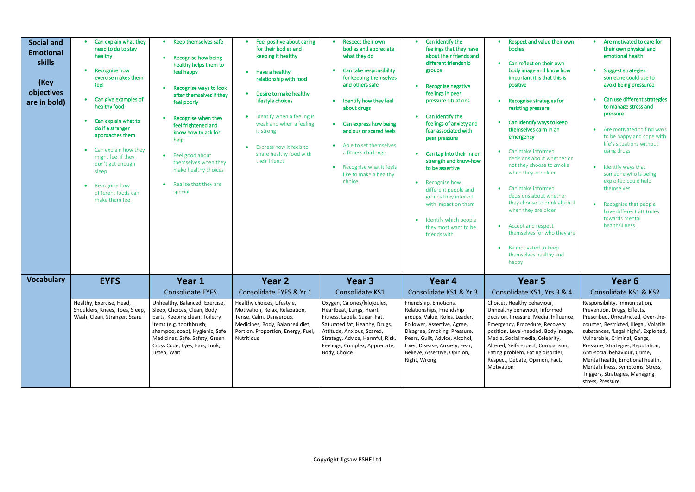| <b>Social and</b><br><b>Emotional</b><br>skills<br>(Key<br>objectives<br>are in bold) | Can explain what they<br>need to do to stay<br>healthy<br>Recognise how<br>$\bullet$<br>exercise makes them<br>feel<br>Can give examples of<br>healthy food                                                                            | • Keep themselves safe<br>Recognise how being<br>healthy helps them to<br>feel happy<br>Recognise ways to look<br>after themselves if they<br>feel poorly                                                                                       | • Feel positive about caring<br>for their bodies and<br>keeping it healthy<br>Have a healthy<br>$\bullet$<br>relationship with food<br>Desire to make healthy<br>$\bullet$<br>lifestyle choices | Respect their own<br>$\bullet$<br>bodies and appreciate<br>what they do<br>Can take responsibility<br>for keeping themselves<br>and others safe<br>Identify how they feel<br>$\bullet$                                                         | Can identify the<br>feelings that they have<br>about their friends and<br>different friendship<br>groups<br>Recognise negative<br>feelings in peer<br>pressure situations                                                                                                                                               | Respect and value their own<br>bodies<br>Can reflect on their own<br>$\bullet$<br>body image and know how<br>important it is that this is<br>positive<br>Recognise strategies for                                                                                                                                                                                                                                                            | Are motivated to care for<br>$\bullet$<br>their own physical and<br>emotional health<br>Suggest strategies<br>someone could use to<br>avoid being pressured<br>Can use different strategies<br>to manage stress and                                                                                                                                                                                                         |
|---------------------------------------------------------------------------------------|----------------------------------------------------------------------------------------------------------------------------------------------------------------------------------------------------------------------------------------|-------------------------------------------------------------------------------------------------------------------------------------------------------------------------------------------------------------------------------------------------|-------------------------------------------------------------------------------------------------------------------------------------------------------------------------------------------------|------------------------------------------------------------------------------------------------------------------------------------------------------------------------------------------------------------------------------------------------|-------------------------------------------------------------------------------------------------------------------------------------------------------------------------------------------------------------------------------------------------------------------------------------------------------------------------|----------------------------------------------------------------------------------------------------------------------------------------------------------------------------------------------------------------------------------------------------------------------------------------------------------------------------------------------------------------------------------------------------------------------------------------------|-----------------------------------------------------------------------------------------------------------------------------------------------------------------------------------------------------------------------------------------------------------------------------------------------------------------------------------------------------------------------------------------------------------------------------|
|                                                                                       | Can explain what to<br>$\bullet$<br>do if a stranger<br>approaches them<br>Can explain how they<br>$\bullet$<br>might feel if they<br>don't get enough<br>sleep<br>Recognise how<br>$\bullet$<br>different foods can<br>make them feel | Recognise when they<br>feel frightened and<br>know how to ask for<br>help<br>Feel good about<br>$\bullet$<br>themselves when they<br>make healthy choices<br>Realise that they are<br>special                                                   | Identify when a feeling is<br>weak and when a feeling<br>is strong<br>Express how it feels to<br>$\bullet$<br>share healthy food with<br>their friends                                          | about drugs<br>Can express how being<br>$\bullet$<br>anxious or scared feels<br>Able to set themselves<br>$\bullet$<br>a fitness challenge<br>Recognise what it feels<br>$\bullet$<br>like to make a healthy<br>choice                         | Can identify the<br>feelings of anxiety and<br>fear associated with<br>peer pressure<br>Can tap into their inner<br>strength and know-how<br>to be assertive<br>• Recognise how<br>different people and<br>groups they interact<br>with impact on them<br>Identify which people<br>they most want to be<br>friends with | resisting pressure<br>Can identify ways to keep<br>themselves calm in an<br>emergency<br>Can make informed<br>decisions about whether or<br>not they choose to smoke<br>when they are older<br>Can make informed<br>$\bullet$<br>decisions about whether<br>they choose to drink alcohol<br>when they are older<br>Accept and respect<br>$\bullet$<br>themselves for who they are<br>Be motivated to keep<br>themselves healthy and<br>happy | pressure<br>Are motivated to find ways<br>to be happy and cope with<br>life's situations without<br>using drugs<br>Identify ways that<br>someone who is being<br>exploited could help<br>themselves<br>Recognise that people<br>have different attitudes<br>towards mental<br>health/illness                                                                                                                                |
| <b>Vocabulary</b>                                                                     | <b>EYFS</b>                                                                                                                                                                                                                            | Year 1                                                                                                                                                                                                                                          | Year 2                                                                                                                                                                                          | Year 3                                                                                                                                                                                                                                         | Year 4                                                                                                                                                                                                                                                                                                                  | Year 5                                                                                                                                                                                                                                                                                                                                                                                                                                       | Year <sub>6</sub>                                                                                                                                                                                                                                                                                                                                                                                                           |
|                                                                                       |                                                                                                                                                                                                                                        | <b>Consolidate EYFS</b>                                                                                                                                                                                                                         | Consolidate EYFS & Yr 1                                                                                                                                                                         | Consolidate KS1                                                                                                                                                                                                                                | Consolidate KS1 & Yr 3                                                                                                                                                                                                                                                                                                  | Consolidate KS1, Yrs 3 & 4                                                                                                                                                                                                                                                                                                                                                                                                                   | Consolidate KS1 & KS2                                                                                                                                                                                                                                                                                                                                                                                                       |
|                                                                                       | Healthy, Exercise, Head,<br>Shoulders, Knees, Toes, Sleep,<br>Wash, Clean, Stranger, Scare                                                                                                                                             | Unhealthy, Balanced, Exercise,<br>Sleep, Choices, Clean, Body<br>parts, Keeping clean, Toiletry<br>items (e.g. toothbrush,<br>shampoo, soap), Hygienic, Safe<br>Medicines, Safe, Safety, Green<br>Cross Code, Eyes, Ears, Look,<br>Listen, Wait | Healthy choices, Lifestyle,<br>Motivation, Relax, Relaxation,<br>Tense, Calm, Dangerous,<br>Medicines, Body, Balanced diet,<br>Portion, Proportion, Energy, Fuel,<br>Nutritious                 | Oxygen, Calories/kilojoules,<br>Heartbeat, Lungs, Heart,<br>Fitness, Labels, Sugar, Fat,<br>Saturated fat, Healthy, Drugs,<br>Attitude, Anxious, Scared,<br>Strategy, Advice, Harmful, Risk,<br>Feelings, Complex, Appreciate,<br>Body, Choice | Friendship, Emotions,<br>Relationships, Friendship<br>groups, Value, Roles, Leader,<br>Follower, Assertive, Agree,<br>Disagree, Smoking, Pressure,<br>Peers, Guilt, Advice, Alcohol,<br>Liver, Disease, Anxiety, Fear,<br>Believe, Assertive, Opinion,<br>Right, Wrong                                                  | Choices, Healthy behaviour,<br>Unhealthy behaviour, Informed<br>decision, Pressure, Media, Influence,<br>Emergency, Procedure, Recovery<br>position, Level-headed, Body image,<br>Media, Social media, Celebrity,<br>Altered, Self-respect, Comparison,<br>Eating problem, Eating disorder,<br>Respect, Debate, Opinion, Fact,<br>Motivation                                                                                                 | Responsibility, Immunisation,<br>Prevention, Drugs, Effects,<br>Prescribed, Unrestricted, Over-the-<br>counter, Restricted, Illegal, Volatile<br>substances, 'Legal highs', Exploited,<br>Vulnerable, Criminal, Gangs,<br>Pressure, Strategies, Reputation,<br>Anti-social behaviour, Crime,<br>Mental health, Emotional health,<br>Mental illness, Symptoms, Stress,<br>Triggers, Strategies, Managing<br>stress, Pressure |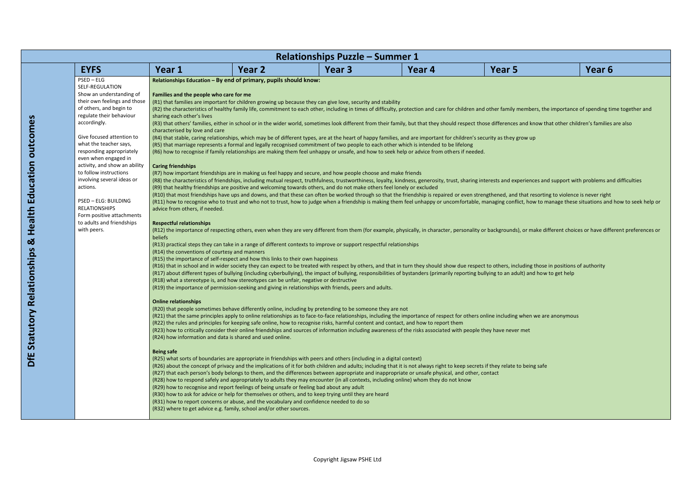| Year 6                                                                                            |
|---------------------------------------------------------------------------------------------------|
|                                                                                                   |
|                                                                                                   |
| mbers, the importance of spending time together and                                               |
| d know that other children's families are also                                                    |
| w up                                                                                              |
|                                                                                                   |
|                                                                                                   |
| iences and support with problems and difficulties                                                 |
| at resorting to violence is never right<br>how to manage these situations and how to seek help or |
|                                                                                                   |
| r make different choices or have different preferences or                                         |
|                                                                                                   |
| ling those in positions of authority                                                              |
| and how to get help                                                                               |
|                                                                                                   |
| en we are anonymous                                                                               |
| et                                                                                                |
|                                                                                                   |
|                                                                                                   |
| being safe                                                                                        |
|                                                                                                   |
|                                                                                                   |
|                                                                                                   |
|                                                                                                   |

|                                                                                                                                                                                                                                                                                                                                                                                                                                                                                                                                                                                                                                                                                                                                                                                                                                                                                                                                                                                                                                                                                                                                                                                                                                                                                                                                                                                                                                                                                                                                                                                                                                                                                                                                                                                                                                                                                                                                                                                                                                                                                                |        | <b>Relationships Puzzle - Summer 1</b>                                                                                                                                                                                                                                                                                                                                                                                                                                                                                                                                                                                                                                                                                                                                                                                                                                                                                                                                                                                                                                                                                                                                                                                                                                                                                                                                                                                                                                                                                                                                                                                                                                                                                                                        |                                                                                                                                                                                                                                                                                                                                                                                                                                                   |                                                                                                                                                                                                                                                                                                                           |                                                                                                                                                                                                                                                                                                                                                                                                                                                                                                             |
|------------------------------------------------------------------------------------------------------------------------------------------------------------------------------------------------------------------------------------------------------------------------------------------------------------------------------------------------------------------------------------------------------------------------------------------------------------------------------------------------------------------------------------------------------------------------------------------------------------------------------------------------------------------------------------------------------------------------------------------------------------------------------------------------------------------------------------------------------------------------------------------------------------------------------------------------------------------------------------------------------------------------------------------------------------------------------------------------------------------------------------------------------------------------------------------------------------------------------------------------------------------------------------------------------------------------------------------------------------------------------------------------------------------------------------------------------------------------------------------------------------------------------------------------------------------------------------------------------------------------------------------------------------------------------------------------------------------------------------------------------------------------------------------------------------------------------------------------------------------------------------------------------------------------------------------------------------------------------------------------------------------------------------------------------------------------------------------------|--------|---------------------------------------------------------------------------------------------------------------------------------------------------------------------------------------------------------------------------------------------------------------------------------------------------------------------------------------------------------------------------------------------------------------------------------------------------------------------------------------------------------------------------------------------------------------------------------------------------------------------------------------------------------------------------------------------------------------------------------------------------------------------------------------------------------------------------------------------------------------------------------------------------------------------------------------------------------------------------------------------------------------------------------------------------------------------------------------------------------------------------------------------------------------------------------------------------------------------------------------------------------------------------------------------------------------------------------------------------------------------------------------------------------------------------------------------------------------------------------------------------------------------------------------------------------------------------------------------------------------------------------------------------------------------------------------------------------------------------------------------------------------|---------------------------------------------------------------------------------------------------------------------------------------------------------------------------------------------------------------------------------------------------------------------------------------------------------------------------------------------------------------------------------------------------------------------------------------------------|---------------------------------------------------------------------------------------------------------------------------------------------------------------------------------------------------------------------------------------------------------------------------------------------------------------------------|-------------------------------------------------------------------------------------------------------------------------------------------------------------------------------------------------------------------------------------------------------------------------------------------------------------------------------------------------------------------------------------------------------------------------------------------------------------------------------------------------------------|
| Year 5                                                                                                                                                                                                                                                                                                                                                                                                                                                                                                                                                                                                                                                                                                                                                                                                                                                                                                                                                                                                                                                                                                                                                                                                                                                                                                                                                                                                                                                                                                                                                                                                                                                                                                                                                                                                                                                                                                                                                                                                                                                                                         | Year 4 | Year <sub>3</sub>                                                                                                                                                                                                                                                                                                                                                                                                                                                                                                                                                                                                                                                                                                                                                                                                                                                                                                                                                                                                                                                                                                                                                                                                                                                                                                                                                                                                                                                                                                                                                                                                                                                                                                                                             | Year 2                                                                                                                                                                                                                                                                                                                                                                                                                                            | Year 1                                                                                                                                                                                                                                                                                                                    | <b>EYFS</b>                                                                                                                                                                                                                                                                                                                                                                                                                                                                                                 |
| (R2) the characteristics of healthy family life, commitment to each other, including in times of difficulty, protection and care for children and other family members, the importance of spending time together and<br>(R3) that others' families, either in school or in the wider world, sometimes look different from their family, but that they should respect those differences and know that other children's families are also<br>(R8) the characteristics of friendships, including mutual respect, truthfulness, trustworthiness, loyalty, kindness, generosity, trust, sharing interests and experiences and support with problems and difficulties<br>(R10) that most friendships have ups and downs, and that these can often be worked through so that the friendship is repaired or even strengthened, and that resorting to violence is never right<br>(R11) how to recognise who to trust and who not to trust, how to judge when a friendship is making them feel unhappy or uncomfortable, managing conflict, how to manage these situations and how to seek help or<br>(R12) the importance of respecting others, even when they are very different from them (for example, physically, in character, personality or backgrounds), or make different choices or have different preferences or<br>(R16) that in school and in wider society they can expect to be treated with respect by others, and that in turn they should show due respect to others, including those in positions of authority<br>(R17) about different types of bullying (including cyberbullying), the impact of bullying, responsibilities of bystanders (primarily reporting bullying to an adult) and how to get help<br>(R21) that the same principles apply to online relationships as to face-to-face relationships, including the importance of respect for others online including when we are anonymous<br>(R26) about the concept of privacy and the implications of it for both children and adults; including that it is not always right to keep secrets if they relate to being safe |        | (R1) that families are important for children growing up because they can give love, security and stability<br>(R4) that stable, caring relationships, which may be of different types, are at the heart of happy families, and are important for children's security as they grow up<br>(R5) that marriage represents a formal and legally recognised commitment of two people to each other which is intended to be lifelong<br>(R6) how to recognise if family relationships are making them feel unhappy or unsafe, and how to seek help or advice from others if needed.<br>(R7) how important friendships are in making us feel happy and secure, and how people choose and make friends<br>(R9) that healthy friendships are positive and welcoming towards others, and do not make others feel lonely or excluded<br>(R13) practical steps they can take in a range of different contexts to improve or support respectful relationships<br>(R19) the importance of permission-seeking and giving in relationships with friends, peers and adults.<br>(R20) that people sometimes behave differently online, including by pretending to be someone they are not<br>(R22) the rules and principles for keeping safe online, how to recognise risks, harmful content and contact, and how to report them<br>(R23) how to critically consider their online friendships and sources of information including awareness of the risks associated with people they have never met<br>(R25) what sorts of boundaries are appropriate in friendships with peers and others (including in a digital context)<br>(R27) that each person's body belongs to them, and the differences between appropriate and inappropriate or unsafe physical, and other, contact | Relationships Education - By end of primary, pupils should know:<br>(R15) the importance of self-respect and how this links to their own happiness<br>(R18) what a stereotype is, and how stereotypes can be unfair, negative or destructive<br>(R24) how information and data is shared and used online.<br>(R28) how to respond safely and appropriately to adults they may encounter (in all contexts, including online) whom they do not know | Families and the people who care for me<br>sharing each other's lives<br>characterised by love and care<br><b>Caring friendships</b><br>advice from others, if needed.<br><b>Respectful relationships</b><br>beliefs<br>(R14) the conventions of courtesy and manners<br><b>Online relationships</b><br><b>Being safe</b> | $PSED - ELG$<br>SELF-REGULATION<br>Show an understanding of<br>their own feelings and those<br>of others, and begin to<br>regulate their behaviour<br>accordingly.<br>Give focused attention to<br>what the teacher says,<br>responding appropriately<br>even when engaged in<br>activity, and show an ability<br>to follow instructions<br>involving several ideas or<br>actions.<br>PSED - ELG: BUILDING<br><b>RELATIONSHIPS</b><br>Form positive attachments<br>to adults and friendships<br>with peers. |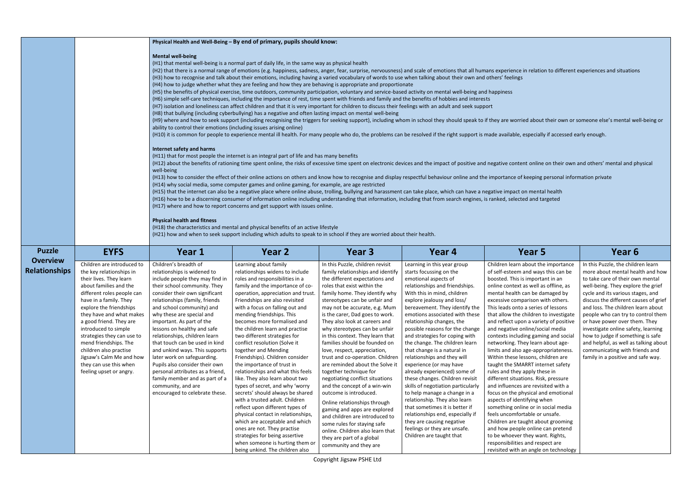ed about their own or someone else's mental well-being or

nt online on their own and others' mental and physical

|                                         |                                                                                                                                                                                                                                                                                                                                                                                                                                                 |                                                                                                                                                                                                                                                                                                                                                                                                                                                                                                                                                                                                                       | Physical Health and Well-Being - By end of primary, pupils should know:                                                                                                                                                                                                                                                                                                                                                                                                                                                                                                                                                                                                                                                                                                                                                                                                                                                                                                                                                                                                                                                                                                                                                                                                                                                                                                                                                                                                                                                                                                                                                                                                                                                                                                                                                     |                                                                                                                                                                                                                                                                                                                                                                                                                                                                                                                                                                                                                                                                                                                                                                                                                                                                                |                                                                                                                                                                                                                                                                                                                                                                                                                                                                                                                                                                                                                                                                                                                                                                                                                         |                                                                                                                                                                                                                                                                                                                                                                                                                                                                                                                                                                                                                                                                                                                                                                                                                                                                                                                                                                                                                                                           |                                                                                                                                                                                                                                                                                                                                                                                                |
|-----------------------------------------|-------------------------------------------------------------------------------------------------------------------------------------------------------------------------------------------------------------------------------------------------------------------------------------------------------------------------------------------------------------------------------------------------------------------------------------------------|-----------------------------------------------------------------------------------------------------------------------------------------------------------------------------------------------------------------------------------------------------------------------------------------------------------------------------------------------------------------------------------------------------------------------------------------------------------------------------------------------------------------------------------------------------------------------------------------------------------------------|-----------------------------------------------------------------------------------------------------------------------------------------------------------------------------------------------------------------------------------------------------------------------------------------------------------------------------------------------------------------------------------------------------------------------------------------------------------------------------------------------------------------------------------------------------------------------------------------------------------------------------------------------------------------------------------------------------------------------------------------------------------------------------------------------------------------------------------------------------------------------------------------------------------------------------------------------------------------------------------------------------------------------------------------------------------------------------------------------------------------------------------------------------------------------------------------------------------------------------------------------------------------------------------------------------------------------------------------------------------------------------------------------------------------------------------------------------------------------------------------------------------------------------------------------------------------------------------------------------------------------------------------------------------------------------------------------------------------------------------------------------------------------------------------------------------------------------|--------------------------------------------------------------------------------------------------------------------------------------------------------------------------------------------------------------------------------------------------------------------------------------------------------------------------------------------------------------------------------------------------------------------------------------------------------------------------------------------------------------------------------------------------------------------------------------------------------------------------------------------------------------------------------------------------------------------------------------------------------------------------------------------------------------------------------------------------------------------------------|-------------------------------------------------------------------------------------------------------------------------------------------------------------------------------------------------------------------------------------------------------------------------------------------------------------------------------------------------------------------------------------------------------------------------------------------------------------------------------------------------------------------------------------------------------------------------------------------------------------------------------------------------------------------------------------------------------------------------------------------------------------------------------------------------------------------------|-----------------------------------------------------------------------------------------------------------------------------------------------------------------------------------------------------------------------------------------------------------------------------------------------------------------------------------------------------------------------------------------------------------------------------------------------------------------------------------------------------------------------------------------------------------------------------------------------------------------------------------------------------------------------------------------------------------------------------------------------------------------------------------------------------------------------------------------------------------------------------------------------------------------------------------------------------------------------------------------------------------------------------------------------------------|------------------------------------------------------------------------------------------------------------------------------------------------------------------------------------------------------------------------------------------------------------------------------------------------------------------------------------------------------------------------------------------------|
|                                         |                                                                                                                                                                                                                                                                                                                                                                                                                                                 | <b>Mental well-being</b><br>ability to control their emotions (including issues arising online)<br>Internet safety and harms<br>well-being<br><b>Physical health and fitness</b>                                                                                                                                                                                                                                                                                                                                                                                                                                      | (H1) that mental well-being is a normal part of daily life, in the same way as physical health<br>(H3) how to recognise and talk about their emotions, including having a varied vocabulary of words to use when talking about their own and others' feelings<br>(H4) how to judge whether what they are feeling and how they are behaving is appropriate and proportionate<br>(H5) the benefits of physical exercise, time outdoors, community participation, voluntary and service-based activity on mental well-being and happiness<br>(H6) simple self-care techniques, including the importance of rest, time spent with friends and family and the benefits of hobbies and interests<br>(H7) isolation and loneliness can affect children and that it is very important for children to discuss their feelings with an adult and seek support<br>(H8) that bullying (including cyberbullying) has a negative and often lasting impact on mental well-being<br>(H11) that for most people the internet is an integral part of life and has many benefits<br>(H14) why social media, some computer games and online gaming, for example, are age restricted<br>(H15) that the internet can also be a negative place where online abuse, trolling, bullying and harassment can take place, which can have a negative impact on mental health<br>(H16) how to be a discerning consumer of information online including understanding that information, including that from search engines, is ranked, selected and targeted<br>(H17) where and how to report concerns and get support with issues online.<br>(H18) the characteristics and mental and physical benefits of an active lifestyle<br>(H21) how and when to seek support including which adults to speak to in school if they are worried about their health. |                                                                                                                                                                                                                                                                                                                                                                                                                                                                                                                                                                                                                                                                                                                                                                                                                                                                                |                                                                                                                                                                                                                                                                                                                                                                                                                                                                                                                                                                                                                                                                                                                                                                                                                         | (H2) that there is a normal range of emotions (e.g. happiness, sadness, anger, fear, surprise, nervousness) and scale of emotions that all humans experience in relation to different experiences and situation<br>(H9) where and how to seek support (including recognising the triggers for seeking support), including whom in school they should speak to if they are worried about their own or someone else's mental we<br>(H10) it is common for people to experience mental ill health. For many people who do, the problems can be resolved if the right support is made available, especially if accessed early enough.<br>(H12) about the benefits of rationing time spent online, the risks of excessive time spent on electronic devices and the impact of positive and negative content online on their own and others' mental and pl<br>(H13) how to consider the effect of their online actions on others and know how to recognise and display respectful behaviour online and the importance of keeping personal information private    |                                                                                                                                                                                                                                                                                                                                                                                                |
| <b>Puzzle</b>                           | <b>EYFS</b>                                                                                                                                                                                                                                                                                                                                                                                                                                     | Year 1                                                                                                                                                                                                                                                                                                                                                                                                                                                                                                                                                                                                                | Year 2                                                                                                                                                                                                                                                                                                                                                                                                                                                                                                                                                                                                                                                                                                                                                                                                                                                                                                                                                                                                                                                                                                                                                                                                                                                                                                                                                                                                                                                                                                                                                                                                                                                                                                                                                                                                                      | Year 3                                                                                                                                                                                                                                                                                                                                                                                                                                                                                                                                                                                                                                                                                                                                                                                                                                                                         | Year 4                                                                                                                                                                                                                                                                                                                                                                                                                                                                                                                                                                                                                                                                                                                                                                                                                  | Year 5                                                                                                                                                                                                                                                                                                                                                                                                                                                                                                                                                                                                                                                                                                                                                                                                                                                                                                                                                                                                                                                    | Year 6                                                                                                                                                                                                                                                                                                                                                                                         |
| <b>Overview</b><br><b>Relationships</b> | Children are introduced to<br>the key relationships in<br>their lives. They learn<br>about families and the<br>different roles people can<br>have in a family. They<br>explore the friendships<br>they have and what makes<br>a good friend. They are<br>introduced to simple<br>strategies they can use to<br>mend friendships. The<br>children also practise<br>Jigsaw's Calm Me and how<br>they can use this when<br>feeling upset or angry. | Children's breadth of<br>relationships is widened to<br>include people they may find in<br>their school community. They<br>consider their own significant<br>relationships (family, friends<br>and school community) and<br>why these are special and<br>important. As part of the<br>lessons on healthy and safe<br>relationships, children learn<br>that touch can be used in kind<br>and unkind ways. This supports<br>later work on safeguarding.<br>Pupils also consider their own<br>personal attributes as a friend,<br>family member and as part of a<br>community, and are<br>encouraged to celebrate these. | Learning about family<br>relationships widens to include<br>roles and responsibilities in a<br>family and the importance of co-<br>operation, appreciation and trust.<br>Friendships are also revisited<br>with a focus on falling out and<br>mending friendships. This<br>becomes more formalised and<br>the children learn and practise<br>two different strategies for<br>conflict resolution (Solve it<br>together and Mending<br>Friendships). Children consider<br>the importance of trust in<br>relationships and what this feels<br>like. They also learn about two<br>types of secret, and why 'worry<br>secrets' should always be shared<br>with a trusted adult. Children<br>reflect upon different types of<br>physical contact in relationships,<br>which are acceptable and which<br>ones are not. They practise<br>strategies for being assertive<br>when someone is hurting them or<br>being unkind. The children also                                                                                                                                                                                                                                                                                                                                                                                                                                                                                                                                                                                                                                                                                                                                                                                                                                                                                      | In this Puzzle, children revisit<br>family relationships and identify<br>the different expectations and<br>roles that exist within the<br>family home. They identify why<br>stereotypes can be unfair and<br>may not be accurate, e.g. Mum<br>is the carer, Dad goes to work.<br>They also look at careers and<br>why stereotypes can be unfair<br>in this context. They learn that<br>families should be founded on<br>love, respect, appreciation,<br>trust and co-operation. Children<br>are reminded about the Solve it<br>together technique for<br>negotiating conflict situations<br>and the concept of a win-win<br>outcome is introduced.<br>Online relationships through<br>gaming and apps are explored<br>and children are introduced to<br>some rules for staying safe<br>online. Children also learn that<br>they are part of a global<br>community and they are | Learning in this year group<br>starts focussing on the<br>emotional aspects of<br>relationships and friendships.<br>With this in mind, children<br>explore jealousy and loss/<br>bereavement. They identify the<br>emotions associated with these<br>relationship changes, the<br>possible reasons for the change<br>and strategies for coping with<br>the change. The children learn<br>that change is a natural in<br>relationships and they will<br>experience (or may have<br>already experienced) some of<br>these changes. Children revisit<br>skills of negotiation particularly<br>to help manage a change in a<br>relationship. They also learn<br>that sometimes it is better if<br>relationships end, especially if<br>they are causing negative<br>feelings or they are unsafe.<br>Children are taught that | Children learn about the importance<br>of self-esteem and ways this can be<br>boosted. This is important in an<br>online context as well as offline, as<br>mental health can be damaged by<br>excessive comparison with others.<br>This leads onto a series of lessons<br>that allow the children to investigate<br>and reflect upon a variety of positive<br>and negative online/social media<br>contexts including gaming and social<br>networking. They learn about age-<br>limits and also age-appropriateness.<br>Within these lessons, children are<br>taught the SMARRT internet safety<br>rules and they apply these in<br>different situations. Risk, pressure<br>and influences are revisited with a<br>focus on the physical and emotional<br>aspects of identifying when<br>something online or in social media<br>feels uncomfortable or unsafe.<br>Children are taught about grooming<br>and how people online can pretend<br>to be whoever they want. Rights,<br>responsibilities and respect are<br>revisited with an angle on technology | In this Puzzle, the childr<br>more about mental hea<br>to take care of their ow<br>well-being. They explor<br>cycle and its various sta<br>discuss the different ca<br>and loss. The children le<br>people who can try to c<br>or have power over the<br>investigate online safet<br>how to judge if someth<br>and helpful, as well as t<br>communicating with fri<br>family in a positive and |

In this Puzzle, the children learn more about mental health and how to take care of their own mental well-being. They explore the grief cycle and its various stages, and discuss the different causes of grief and loss. The children learn about people who can try to control them or have power over them. They investigate online safety, learning how to judge if something is safe and helpful, as well as talking about communicating with friends and family in a positive and safe way.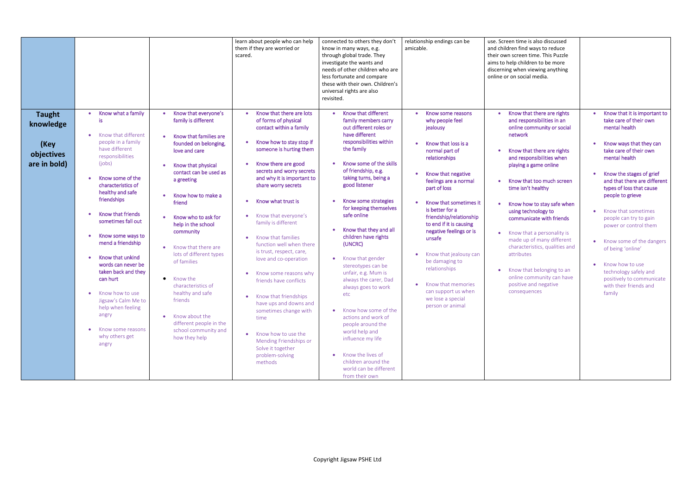| Know that different<br>Know what a family<br>Know that everyone's<br>Know that there are lots<br>• Know that there are rights<br>Know some reasons<br><b>Taught</b><br>family is different<br>of forms of physical<br>and responsibilities in an<br>take care of their own<br>is<br>family members carry<br>why people feel<br>knowledge<br>out different roles or<br>mental health<br>contact within a family<br>online community or social<br>jealousy<br>have different<br>network<br>Know that different<br>Know that families are<br>responsibilities within<br>people in a family<br>Know how to stay stop if<br>founded on belonging,<br>Know that loss is a<br>(Key<br>the family<br>have different<br>someone is hurting them<br>take care of their own<br>Know that there are rights<br>love and care<br>normal part of<br>objectives<br>responsibilities<br>mental health<br>relationships<br>and responsibilities when<br>Know some of the skills<br>(jobs)<br>are in bold)<br>Know there are good<br>playing a game online<br>Know that physical<br>$\bullet$<br>of friendship, e.g.<br>secrets and worry secrets<br>contact can be used as<br>Know the stages of grief<br>Know that negative<br>taking turns, being a<br>and why it is important to<br>Know some of the<br>a greeting<br>feelings are a normal<br>Know that too much screen<br>good listener<br>characteristics of<br>share worry secrets<br>part of loss<br>time isn't healthy<br>types of loss that cause<br>healthy and safe<br>Know how to make a<br>people to grieve<br>friendships<br>Know some strategies<br>Know what trust is<br>Know that sometimes it<br>friend<br>Know how to stay safe when<br>for keeping themselves<br>is better for a<br>using technology to<br>• Know that sometimes                                                                                                                                                        |                          |                     | learn about people who can help<br>them if they are worried or<br>scared. | connected to others they don't<br>know in many ways, e.g.<br>through global trade. They<br>investigate the wants and<br>needs of other children who are<br>less fortunate and compare<br>these with their own. Children's<br>universal rights are also<br>revisited. | relationship endings can be<br>amicable. | use. Screen time is also discussed<br>and children find ways to reduce<br>their own screen time. This Puzzle<br>aims to help children to be more<br>discerning when viewing anything<br>online or on social media. |                                                                                                                                                    |
|--------------------------------------------------------------------------------------------------------------------------------------------------------------------------------------------------------------------------------------------------------------------------------------------------------------------------------------------------------------------------------------------------------------------------------------------------------------------------------------------------------------------------------------------------------------------------------------------------------------------------------------------------------------------------------------------------------------------------------------------------------------------------------------------------------------------------------------------------------------------------------------------------------------------------------------------------------------------------------------------------------------------------------------------------------------------------------------------------------------------------------------------------------------------------------------------------------------------------------------------------------------------------------------------------------------------------------------------------------------------------------------------------------------------------------------------------------------------------------------------------------------------------------------------------------------------------------------------------------------------------------------------------------------------------------------------------------------------------------------------------------------------------------------------------------------------------------------------------------------------------------------------------------------------------------------------|--------------------------|---------------------|---------------------------------------------------------------------------|----------------------------------------------------------------------------------------------------------------------------------------------------------------------------------------------------------------------------------------------------------------------|------------------------------------------|--------------------------------------------------------------------------------------------------------------------------------------------------------------------------------------------------------------------|----------------------------------------------------------------------------------------------------------------------------------------------------|
| communicate with friends<br>people can try to gain<br>sometimes fall out<br>family is different<br>to end if it is causing<br>help in the school<br>power or control them<br>Know that they and all<br>negative feelings or is<br>community<br>Know that a personality is<br>Know some ways to<br>children have rights<br>Know that families<br>unsafe<br>made up of many different<br>mend a friendship<br>(UNCRC)<br>function well when there<br>characteristics, qualities and<br>Know that there are<br>$\bullet$<br>of being 'online'<br>is trust, respect, care,<br>Know that jealousy can<br>lots of different types<br>attributes<br>Know that unkind<br>• Know that gender<br>love and co-operation<br>of families<br>be damaging to<br>words can never be<br>• Know how to use<br>stereotypes can be<br>relationships<br>• Know that belonging to an<br>taken back and they<br>technology safely and<br>unfair, e.g. Mum is<br>Know some reasons why<br>online community can have<br>can hurt<br>Know the<br>$\bullet$<br>always the carer, Dad<br>friends have conflicts<br>Know that memories<br>positive and negative<br>with their friends and<br>characteristics of<br>always goes to work<br>can support us when<br>consequences<br>healthy and safe<br>family<br>• Know how to use<br>etc<br>• Know that friendships<br>we lose a special<br>Jigsaw's Calm Me to<br>friends<br>have ups and downs and<br>person or animal<br>help when feeling<br>• Know how some of the<br>sometimes change with<br>angry<br>• Know about the<br>actions and work of<br>time<br>different people in the<br>people around the<br>Know some reasons<br>school community and<br>world help and<br>Know how to use the<br>why others get<br>how they help<br>influence my life<br>Mending Friendships or<br>angry<br>Solve it together<br>• Know the lives of<br>problem-solving<br>children around the<br>methods<br>world can be different | <b>Know that friends</b> | Know who to ask for | Know that everyone's                                                      | safe online                                                                                                                                                                                                                                                          | friendship/relationship                  |                                                                                                                                                                                                                    | Know that it is important to<br>Know ways that they can<br>and that there are different<br>• Know some of the dangers<br>positively to communicate |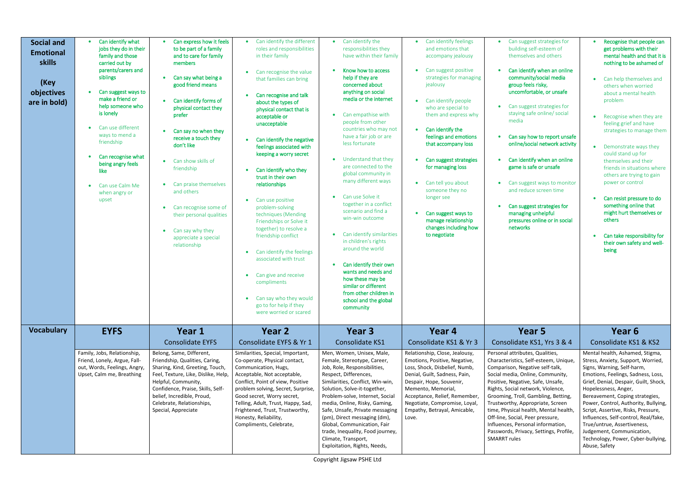| <b>Social and</b><br><b>Emotional</b><br>skills<br>(Key<br>objectives<br>are in bold) | Can identify what<br>jobs they do in their<br>family and those<br>carried out by<br>parents/carers and<br>siblings<br>Can suggest ways to<br>make a friend or<br>help someone who<br>is lonely<br>Can use different<br>ways to mend a<br>friendship<br>Can recognise what<br>being angry feels<br>like<br>Can use Calm Me<br>when angry or<br>upset | Can express how it feels<br>to be part of a family<br>and to care for family<br>members<br>Can say what being a<br>$\bullet$<br>good friend means<br>Can identify forms of<br>$\bullet$<br>physical contact they<br>prefer<br>Can say no when they<br>receive a touch they<br>don't like<br>Can show skills of<br>$\bullet$<br>friendship<br>Can praise themselves<br>and others<br>Can recognise some of<br>their personal qualities<br>Can say why they<br>$\bullet$<br>appreciate a special<br>relationship | Can identify the different<br>roles and responsibilities<br>in their family<br>Can recognise the value<br>that families can bring<br>Can recognise and talk<br>about the types of<br>physical contact that is<br>acceptable or<br>unacceptable<br>Can identify the negative<br>feelings associated with<br>keeping a worry secret<br>Can identify who they<br>trust in their own<br>relationships<br>Can use positive<br>$\bullet$<br>problem-solving<br>techniques (Mending<br>Friendships or Solve it<br>together) to resolve a<br>friendship conflict<br>Can identify the feelings<br>associated with trust<br>Can give and receive<br>$\bullet$<br>compliments<br>Can say who they would<br>go to for help if they<br>were worried or scared | Can identify the<br>$\bullet$<br>responsibilities they<br>have within their family<br>Know how to access<br>help if they are<br>concerned about<br>anything on social<br>media or the internet<br>• Can empathise with<br>people from other<br>countries who may not<br>have a fair job or are<br>less fortunate<br>Understand that they<br>$\bullet$<br>are connected to the<br>global community in<br>many different ways<br>• Can use Solve it<br>together in a conflict<br>scenario and find a<br>win-win outcome<br>Can identify similarities<br>in children's rights<br>around the world<br>Can identify their own<br>wants and needs and<br>how these may be<br>similar or different<br>from other children in<br>school and the global<br>community | Can identify feelings<br>and emotions that<br>accompany jealousy<br>Can suggest positive<br>strategies for managing<br>jealousy<br>Can identify people<br>who are special to<br>them and express why<br>Can identify the<br>feelings and emotions<br>that accompany loss<br>Can suggest strategies<br>for managing loss<br>Can tell you about<br>someone they no<br>longer see<br>Can suggest ways to<br>manage relationship<br>changes including how<br>to negotiate | Can suggest strategies for<br>$\bullet$<br>building self-esteem of<br>themselves and others<br>Can identify when an online<br>community/social media<br>group feels risky,<br>uncomfortable, or unsafe<br>Can suggest strategies for<br>$\bullet$<br>staying safe online/ social<br>media<br>Can say how to report unsafe<br>$\bullet$<br>online/social network activity<br>Can identify when an online<br>game is safe or unsafe<br>Can suggest ways to monitor<br>$\bullet$<br>and reduce screen time<br>Can suggest strategies for<br>$\bullet$<br>managing unhelpful<br>pressures online or in social<br>networks | Recognise that people can<br>get problems with their<br>mental health and that it is<br>nothing to be ashamed of<br>Can help themselves and<br>$\bullet$<br>others when worried<br>about a mental health<br>problem<br>Recognise when they are<br>feeling grief and have<br>strategies to manage them<br>Demonstrate ways they<br>$\bullet$<br>could stand up for<br>themselves and their<br>friends in situations where<br>others are trying to gain<br>power or control<br>Can resist pressure to do<br>something online that<br>might hurt themselves or<br>others<br>Can take responsibility for<br>their own safety and well-<br>being |
|---------------------------------------------------------------------------------------|-----------------------------------------------------------------------------------------------------------------------------------------------------------------------------------------------------------------------------------------------------------------------------------------------------------------------------------------------------|----------------------------------------------------------------------------------------------------------------------------------------------------------------------------------------------------------------------------------------------------------------------------------------------------------------------------------------------------------------------------------------------------------------------------------------------------------------------------------------------------------------|--------------------------------------------------------------------------------------------------------------------------------------------------------------------------------------------------------------------------------------------------------------------------------------------------------------------------------------------------------------------------------------------------------------------------------------------------------------------------------------------------------------------------------------------------------------------------------------------------------------------------------------------------------------------------------------------------------------------------------------------------|-------------------------------------------------------------------------------------------------------------------------------------------------------------------------------------------------------------------------------------------------------------------------------------------------------------------------------------------------------------------------------------------------------------------------------------------------------------------------------------------------------------------------------------------------------------------------------------------------------------------------------------------------------------------------------------------------------------------------------------------------------------|-----------------------------------------------------------------------------------------------------------------------------------------------------------------------------------------------------------------------------------------------------------------------------------------------------------------------------------------------------------------------------------------------------------------------------------------------------------------------|-----------------------------------------------------------------------------------------------------------------------------------------------------------------------------------------------------------------------------------------------------------------------------------------------------------------------------------------------------------------------------------------------------------------------------------------------------------------------------------------------------------------------------------------------------------------------------------------------------------------------|---------------------------------------------------------------------------------------------------------------------------------------------------------------------------------------------------------------------------------------------------------------------------------------------------------------------------------------------------------------------------------------------------------------------------------------------------------------------------------------------------------------------------------------------------------------------------------------------------------------------------------------------|
| <b>Vocabulary</b>                                                                     | <b>EYFS</b>                                                                                                                                                                                                                                                                                                                                         | Year 1                                                                                                                                                                                                                                                                                                                                                                                                                                                                                                         | Year 2                                                                                                                                                                                                                                                                                                                                                                                                                                                                                                                                                                                                                                                                                                                                           | Year 3                                                                                                                                                                                                                                                                                                                                                                                                                                                                                                                                                                                                                                                                                                                                                      | Year 4                                                                                                                                                                                                                                                                                                                                                                                                                                                                | Year 5                                                                                                                                                                                                                                                                                                                                                                                                                                                                                                                                                                                                                | Year 6                                                                                                                                                                                                                                                                                                                                                                                                                                                                                                                                                                                                                                      |
|                                                                                       |                                                                                                                                                                                                                                                                                                                                                     | <b>Consolidate EYFS</b>                                                                                                                                                                                                                                                                                                                                                                                                                                                                                        | Consolidate EYFS & Yr 1                                                                                                                                                                                                                                                                                                                                                                                                                                                                                                                                                                                                                                                                                                                          | Consolidate KS1                                                                                                                                                                                                                                                                                                                                                                                                                                                                                                                                                                                                                                                                                                                                             | Consolidate KS1 & Yr 3                                                                                                                                                                                                                                                                                                                                                                                                                                                | Consolidate KS1, Yrs 3 & 4                                                                                                                                                                                                                                                                                                                                                                                                                                                                                                                                                                                            | Consolidate KS1 & KS2                                                                                                                                                                                                                                                                                                                                                                                                                                                                                                                                                                                                                       |
|                                                                                       | Family, Jobs, Relationship,<br>Friend, Lonely, Argue, Fall-<br>out, Words, Feelings, Angry,<br>Upset, Calm me, Breathing                                                                                                                                                                                                                            | Belong, Same, Different,<br>Friendship, Qualities, Caring,<br>Sharing, Kind, Greeting, Touch,<br>Feel, Texture, Like, Dislike, Help,<br>Helpful, Community,<br>Confidence, Praise, Skills, Self-<br>belief, Incredible, Proud,<br>Celebrate, Relationships,<br>Special, Appreciate                                                                                                                                                                                                                             | Similarities, Special, Important,<br>Co-operate, Physical contact,<br>Communication, Hugs,<br>Acceptable, Not acceptable,<br>Conflict, Point of view, Positive<br>problem solving, Secret, Surprise,<br>Good secret, Worry secret,<br>Telling, Adult, Trust, Happy, Sad,<br>Frightened, Trust, Trustworthy,<br>Honesty, Reliability,<br>Compliments, Celebrate,                                                                                                                                                                                                                                                                                                                                                                                  | Men, Women, Unisex, Male,<br>Female, Stereotype, Career,<br>Job, Role, Responsibilities,<br>Respect, Differences,<br>Similarities, Conflict, Win-win,<br>Solution, Solve-it-together,<br>Problem-solve, Internet, Social<br>media, Online, Risky, Gaming,<br>Safe, Unsafe, Private messaging<br>(pm), Direct messaging (dm),<br>Global, Communication, Fair<br>trade, Inequality, Food journey,<br>Climate, Transport,<br>Exploitation, Rights, Needs,                                                                                                                                                                                                                                                                                                      | Relationship, Close, Jealousy,<br>Emotions, Positive, Negative,<br>Loss, Shock, Disbelief, Numb,<br>Denial, Guilt, Sadness, Pain,<br>Despair, Hope, Souvenir,<br>Memento, Memorial,<br>Acceptance, Relief, Remember,<br>Negotiate, Compromise, Loyal,<br>Empathy, Betrayal, Amicable,<br>Love.                                                                                                                                                                        | Personal attributes, Qualities,<br>Characteristics, Self-esteem, Unique,<br>Comparison, Negative self-talk,<br>Social media, Online, Community,<br>Positive, Negative, Safe, Unsafe,<br>Rights, Social network, Violence,<br>Grooming, Troll, Gambling, Betting,<br>Trustworthy, Appropriate, Screen<br>time, Physical health, Mental health,<br>Off-line, Social, Peer pressure,<br>Influences, Personal information,<br>Passwords, Privacy, Settings, Profile,<br><b>SMARRT rules</b>                                                                                                                               | Mental health, Ashamed, Stigma,<br>Stress, Anxiety, Support, Worried,<br>Signs, Warning, Self-harm,<br>Emotions, Feelings, Sadness, Loss,<br>Grief, Denial, Despair, Guilt, Shock,<br>Hopelessness, Anger,<br>Bereavement, Coping strategies,<br>Power, Control, Authority, Bullying,<br>Script, Assertive, Risks, Pressure,<br>Influences, Self-control, Real/fake,<br>True/untrue, Assertiveness,<br>Judgement, Communication,<br>Technology, Power, Cyber-bullying,<br>Abuse, Safety                                                                                                                                                     |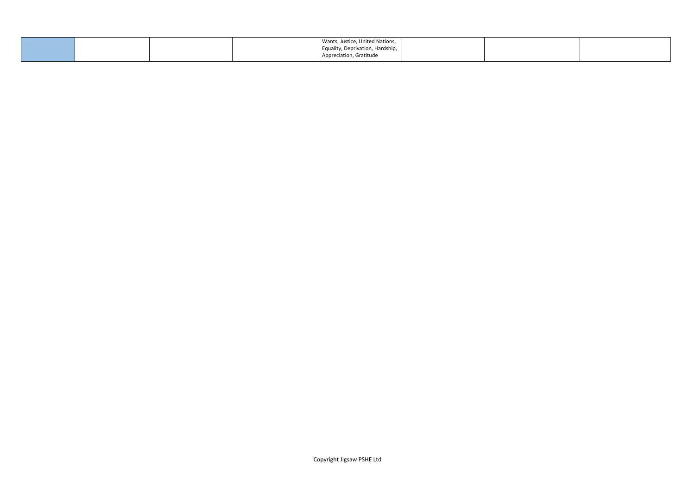|  | Wants, Justice, United Nations,  |  |
|--|----------------------------------|--|
|  | Equality, Deprivation, Hardship, |  |
|  | Appreciation, Gratitude          |  |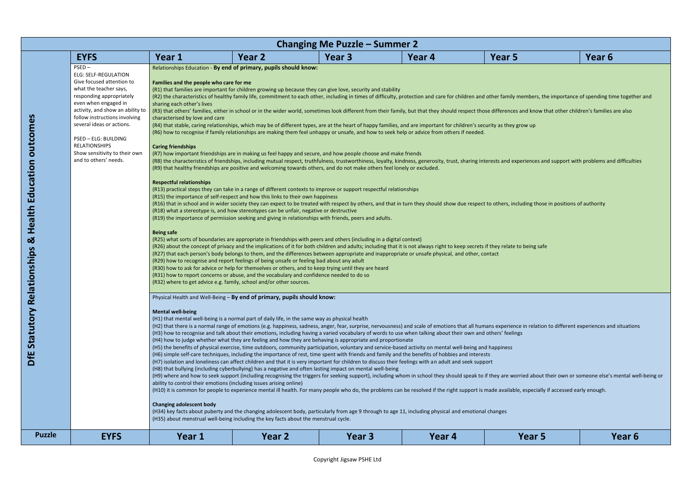mbers, the importance of spending time together and

ed about their own or someone else's mental well-being or settool to in school their som especially if accessed early enough.  $r$ 

|               |                                                                                                                                                                                                                                                                                                                                                                |                                                                                                                                                                                                                          |                                                                                                                                                                                                                                                                                                                                                                                                                                                                                                                                                                                                                                                                                                                                                                                                                                                                                                                                                                                                                                                                                                                                                                                                                                                                                                                                                                                                                                                                                                                                                                                                                                                                                                                                                                                                                                                                                                                                                                                                                                                                                                                                                                                                                                                                                                                                                                                                                                                                                                                                                                                                                                                                                                                                                                                                                                                                                                                                                                                                                                                         | <b>Changing Me Puzzle – Summer 2</b> |        |                                                                                                                                                                                                                                                                                                                                                                                                                                                                                                                                                                                                                                                                                                                                                                                                                                                                                                                                                                                                                                                                                    |                   |
|---------------|----------------------------------------------------------------------------------------------------------------------------------------------------------------------------------------------------------------------------------------------------------------------------------------------------------------------------------------------------------------|--------------------------------------------------------------------------------------------------------------------------------------------------------------------------------------------------------------------------|---------------------------------------------------------------------------------------------------------------------------------------------------------------------------------------------------------------------------------------------------------------------------------------------------------------------------------------------------------------------------------------------------------------------------------------------------------------------------------------------------------------------------------------------------------------------------------------------------------------------------------------------------------------------------------------------------------------------------------------------------------------------------------------------------------------------------------------------------------------------------------------------------------------------------------------------------------------------------------------------------------------------------------------------------------------------------------------------------------------------------------------------------------------------------------------------------------------------------------------------------------------------------------------------------------------------------------------------------------------------------------------------------------------------------------------------------------------------------------------------------------------------------------------------------------------------------------------------------------------------------------------------------------------------------------------------------------------------------------------------------------------------------------------------------------------------------------------------------------------------------------------------------------------------------------------------------------------------------------------------------------------------------------------------------------------------------------------------------------------------------------------------------------------------------------------------------------------------------------------------------------------------------------------------------------------------------------------------------------------------------------------------------------------------------------------------------------------------------------------------------------------------------------------------------------------------------------------------------------------------------------------------------------------------------------------------------------------------------------------------------------------------------------------------------------------------------------------------------------------------------------------------------------------------------------------------------------------------------------------------------------------------------------------------------------|--------------------------------------|--------|------------------------------------------------------------------------------------------------------------------------------------------------------------------------------------------------------------------------------------------------------------------------------------------------------------------------------------------------------------------------------------------------------------------------------------------------------------------------------------------------------------------------------------------------------------------------------------------------------------------------------------------------------------------------------------------------------------------------------------------------------------------------------------------------------------------------------------------------------------------------------------------------------------------------------------------------------------------------------------------------------------------------------------------------------------------------------------|-------------------|
|               | <b>EYFS</b>                                                                                                                                                                                                                                                                                                                                                    | Year 1                                                                                                                                                                                                                   | Year 2                                                                                                                                                                                                                                                                                                                                                                                                                                                                                                                                                                                                                                                                                                                                                                                                                                                                                                                                                                                                                                                                                                                                                                                                                                                                                                                                                                                                                                                                                                                                                                                                                                                                                                                                                                                                                                                                                                                                                                                                                                                                                                                                                                                                                                                                                                                                                                                                                                                                                                                                                                                                                                                                                                                                                                                                                                                                                                                                                                                                                                                  | Year 3                               | Year 4 | Year 5                                                                                                                                                                                                                                                                                                                                                                                                                                                                                                                                                                                                                                                                                                                                                                                                                                                                                                                                                                                                                                                                             | Year 6            |
|               | $PSED -$<br><b>ELG: SELF-REGULATION</b><br>Give focused attention to<br>what the teacher says,<br>responding appropriately<br>even when engaged in<br>activity, and show an ability to<br>follow instructions involving<br>several ideas or actions.<br>PSED - ELG: BUILDING<br><b>RELATIONSHIPS</b><br>Show sensitivity to their own<br>and to others' needs. | Families and the people who care for me<br>sharing each other's lives<br>characterised by love and care<br><b>Caring friendships</b><br><b>Respectful relationships</b><br><b>Being safe</b><br><b>Mental well-being</b> | Relationships Education - By end of primary, pupils should know:<br>(R1) that families are important for children growing up because they can give love, security and stability<br>(R4) that stable, caring relationships, which may be of different types, are at the heart of happy families, and are important for children's security as they grow up<br>(R6) how to recognise if family relationships are making them feel unhappy or unsafe, and how to seek help or advice from others if needed.<br>(R7) how important friendships are in making us feel happy and secure, and how people choose and make friends<br>(R9) that healthy friendships are positive and welcoming towards others, and do not make others feel lonely or excluded.<br>(R13) practical steps they can take in a range of different contexts to improve or support respectful relationships<br>(R15) the importance of self-respect and how this links to their own happiness<br>(R18) what a stereotype is, and how stereotypes can be unfair, negative or destructive<br>(R19) the importance of permission seeking and giving in relationships with friends, peers and adults.<br>(R25) what sorts of boundaries are appropriate in friendships with peers and others (including in a digital context)<br>(R26) about the concept of privacy and the implications of it for both children and adults; including that it is not always right to keep secrets if they relate to being safe<br>(R27) that each person's body belongs to them, and the differences between appropriate and inappropriate or unsafe physical, and other, contact<br>(R29) how to recognise and report feelings of being unsafe or feeling bad about any adult<br>(R30) how to ask for advice or help for themselves or others, and to keep trying until they are heard<br>(R31) how to report concerns or abuse, and the vocabulary and confidence needed to do so<br>(R32) where to get advice e.g. family, school and/or other sources.<br>Physical Health and Well-Being - By end of primary, pupils should know:<br>(H1) that mental well-being is a normal part of daily life, in the same way as physical health<br>(H3) how to recognise and talk about their emotions, including having a varied vocabulary of words to use when talking about their own and others' feelings<br>(H4) how to judge whether what they are feeling and how they are behaving is appropriate and proportionate<br>(H5) the benefits of physical exercise, time outdoors, community participation, voluntary and service-based activity on mental well-being and happiness<br>(H6) simple self-care techniques, including the importance of rest, time spent with friends and family and the benefits of hobbies and interests<br>(H7) isolation and loneliness can affect children and that it is very important for children to discuss their feelings with an adult and seek support<br>(H8) that bullying (including cyberbullying) has a negative and often lasting impact on mental well-being |                                      |        | (R2) the characteristics of healthy family life, commitment to each other, including in times of difficulty, protection and care for children and other family members, the importance of spending time togethe<br>(R3) that others' families, either in school or in the wider world, sometimes look different from their family, but that they should respect those differences and know that other children's families are also<br>(R8) the characteristics of friendships, including mutual respect, truthfulness, trustworthiness, loyalty, kindness, generosity, trust, sharing interests and experiences and support with problems and difficultie<br>(R16) that in school and in wider society they can expect to be treated with respect by others, and that in turn they should show due respect to others, including those in positions of authority<br>(H2) that there is a normal range of emotions (e.g. happiness, sadness, anger, fear, surprise, nervousness) and scale of emotions that all humans experience in relation to different experiences and situation |                   |
|               |                                                                                                                                                                                                                                                                                                                                                                | <b>Changing adolescent body</b>                                                                                                                                                                                          | ability to control their emotions (including issues arising online)<br>(H34) key facts about puberty and the changing adolescent body, particularly from age 9 through to age 11, including physical and emotional changes<br>(H35) about menstrual well-being including the key facts about the menstrual cycle.                                                                                                                                                                                                                                                                                                                                                                                                                                                                                                                                                                                                                                                                                                                                                                                                                                                                                                                                                                                                                                                                                                                                                                                                                                                                                                                                                                                                                                                                                                                                                                                                                                                                                                                                                                                                                                                                                                                                                                                                                                                                                                                                                                                                                                                                                                                                                                                                                                                                                                                                                                                                                                                                                                                                       |                                      |        | (H9) where and how to seek support (including recognising the triggers for seeking support), including whom in school they should speak to if they are worried about their own or someone else's mental we<br>(H10) it is common for people to experience mental ill health. For many people who do, the problems can be resolved if the right support is made available, especially if accessed early enough.                                                                                                                                                                                                                                                                                                                                                                                                                                                                                                                                                                                                                                                                     |                   |
| <b>Puzzle</b> | <b>EYFS</b>                                                                                                                                                                                                                                                                                                                                                    | Year 1                                                                                                                                                                                                                   | Year 2                                                                                                                                                                                                                                                                                                                                                                                                                                                                                                                                                                                                                                                                                                                                                                                                                                                                                                                                                                                                                                                                                                                                                                                                                                                                                                                                                                                                                                                                                                                                                                                                                                                                                                                                                                                                                                                                                                                                                                                                                                                                                                                                                                                                                                                                                                                                                                                                                                                                                                                                                                                                                                                                                                                                                                                                                                                                                                                                                                                                                                                  | Year 3                               | Year 4 | Year 5                                                                                                                                                                                                                                                                                                                                                                                                                                                                                                                                                                                                                                                                                                                                                                                                                                                                                                                                                                                                                                                                             | Year <sub>6</sub> |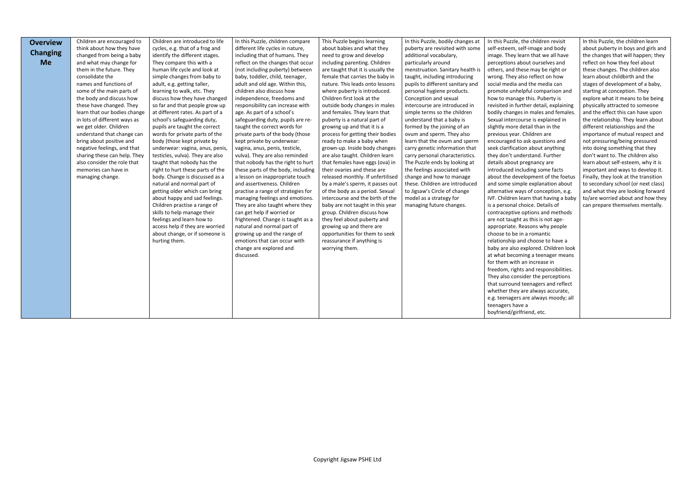| <b>Overview</b> | Children are encouraged to   | Children are introduced to life  | In this Puzzle, children compare   | This Puzzle begins learning       | In this Puzzle, bodily changes at | In this Puzzle, the children revisit    | In this Puzzle, the children learn   |
|-----------------|------------------------------|----------------------------------|------------------------------------|-----------------------------------|-----------------------------------|-----------------------------------------|--------------------------------------|
|                 | think about how they have    | cycles, e.g. that of a frog and  | different life cycles in nature,   | about babies and what they        | puberty are revisited with some   | self-esteem, self-image and body        | about puberty in boys and girls and  |
| <b>Changing</b> | changed from being a baby    | identify the different stages.   | including that of humans. They     | need to grow and develop          | additional vocabulary,            | image. They learn that we all have      | the changes that will happen; they   |
| <b>Me</b>       | and what may change for      | They compare this with a         | reflect on the changes that occur  | including parenting. Children     | particularly around               | perceptions about ourselves and         | reflect on how they feel about       |
|                 | them in the future. They     | human life cycle and look at     | (not including puberty) between    | are taught that it is usually the | menstruation. Sanitary health is  | others, and these may be right or       | these changes. The children also     |
|                 | consolidate the              | simple changes from baby to      | baby, toddler, child, teenager,    | female that carries the baby in   | taught, including introducing     | wrong. They also reflect on how         | learn about childbirth and the       |
|                 | names and functions of       | adult, e.g. getting taller,      | adult and old age. Within this,    | nature. This leads onto lessons   | pupils to different sanitary and  | social media and the media can          | stages of development of a baby,     |
|                 | some of the main parts of    | learning to walk, etc. They      | children also discuss how          | where puberty is introduced.      | personal hygiene products.        | promote unhelpful comparison and        | starting at conception. They         |
|                 | the body and discuss how     | discuss how they have changed    | independence, freedoms and         | Children first look at the        | Conception and sexual             | how to manage this. Puberty is          | explore what it means to be being    |
|                 | these have changed. They     | so far and that people grow up   | responsibility can increase with   | outside body changes in males     | intercourse are introduced in     | revisited in further detail, explaining | physically attracted to someone      |
|                 | learn that our bodies change | at different rates. As part of a | age. As part of a school's         | and females. They learn that      | simple terms so the children      | bodily changes in males and females.    | and the effect this can have upon    |
|                 | in lots of different ways as | school's safeguarding duty,      | safeguarding duty, pupils are re-  | puberty is a natural part of      | understand that a baby is         | Sexual intercourse is explained in      | the relationship. They learn about   |
|                 | we get older. Children       | pupils are taught the correct    | taught the correct words for       | growing up and that it is a       | formed by the joining of an       | slightly more detail than in the        | different relationships and the      |
|                 | understand that change can   | words for private parts of the   | private parts of the body (those   | process for getting their bodies  | ovum and sperm. They also         | previous year. Children are             | importance of mutual respect and     |
|                 | bring about positive and     | body (those kept private by      | kept private by underwear:         | ready to make a baby when         | learn that the ovum and sperm     | encouraged to ask questions and         | not pressuring/being pressured       |
|                 | negative feelings, and that  | underwear: vagina, anus, penis,  | vagina, anus, penis, testicle,     | grown-up. Inside body changes     | carry genetic information that    | seek clarification about anything       | into doing something that they       |
|                 | sharing these can help. They | testicles, vulva). They are also | vulva). They are also reminded     | are also taught. Children learn   | carry personal characteristics.   | they don't understand. Further          | don't want to. The children also     |
|                 | also consider the role that  | taught that nobody has the       | that nobody has the right to hurt  | that females have eggs (ova) in   | The Puzzle ends by looking at     | details about pregnancy are             | learn about self-esteem, why it is   |
|                 | memories can have in         | right to hurt these parts of the | these parts of the body, including | their ovaries and these are       | the feelings associated with      | introduced including some facts         | important and ways to develop it.    |
|                 | managing change.             | body. Change is discussed as a   | a lesson on inappropriate touch    | released monthly. If unfertilised | change and how to manage          | about the development of the foetus     | Finally, they look at the transition |
|                 |                              | natural and normal part of       | and assertiveness. Children        | by a male's sperm, it passes out  | these. Children are introduced    | and some simple explanation about       | to secondary school (or next class)  |
|                 |                              | getting older which can bring    | practise a range of strategies for | of the body as a period. Sexual   | to Jigsaw's Circle of change      | alternative ways of conception, e.g.    | and what they are looking forward    |
|                 |                              | about happy and sad feelings.    | managing feelings and emotions.    | intercourse and the birth of the  | model as a strategy for           | IVF. Children learn that having a baby  | to/are worried about and how they    |
|                 |                              | Children practise a range of     | They are also taught where they    | baby are not taught in this year  | managing future changes.          | is a personal choice. Details of        | can prepare themselves mentally.     |
|                 |                              | skills to help manage their      | can get help if worried or         | group. Children discuss how       |                                   | contraceptive options and methods       |                                      |
|                 |                              | feelings and learn how to        | frightened. Change is taught as a  | they feel about puberty and       |                                   | are not taught as this is not age-      |                                      |
|                 |                              | access help if they are worried  | natural and normal part of         | growing up and there are          |                                   | appropriate. Reasons why people         |                                      |
|                 |                              | about change, or if someone is   | growing up and the range of        | opportunities for them to seek    |                                   | choose to be in a romantic              |                                      |
|                 |                              | hurting them.                    | emotions that can occur with       | reassurance if anything is        |                                   | relationship and choose to have a       |                                      |
|                 |                              |                                  | change are explored and            | worrying them.                    |                                   | baby are also explored. Children look   |                                      |
|                 |                              |                                  | discussed.                         |                                   |                                   | at what becoming a teenager means       |                                      |
|                 |                              |                                  |                                    |                                   |                                   | for them with an increase in            |                                      |
|                 |                              |                                  |                                    |                                   |                                   | freedom, rights and responsibilities.   |                                      |
|                 |                              |                                  |                                    |                                   |                                   | They also consider the perceptions      |                                      |
|                 |                              |                                  |                                    |                                   |                                   | that surround teenagers and reflect     |                                      |
|                 |                              |                                  |                                    |                                   |                                   | whether they are always accurate,       |                                      |
|                 |                              |                                  |                                    |                                   |                                   | e.g. teenagers are always moody; all    |                                      |
|                 |                              |                                  |                                    |                                   |                                   | teenagers have a                        |                                      |
|                 |                              |                                  |                                    |                                   |                                   | boyfriend/girlfriend, etc.              |                                      |
|                 |                              |                                  |                                    |                                   |                                   |                                         |                                      |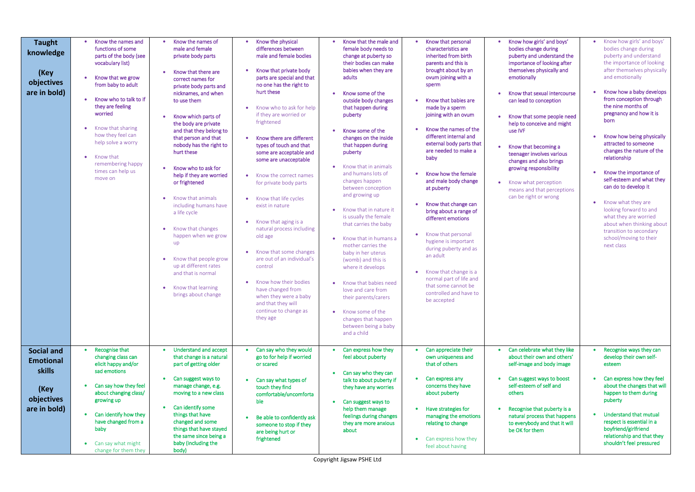| <b>Taught</b><br>knowledge<br>(Key<br>objectives<br>are in bold)                      | Know the names and<br>$\bullet$<br>functions of some<br>parts of the body (see<br>vocabulary list)<br>Know that we grow<br>from baby to adult<br>Know who to talk to if<br>they are feeling<br>worried<br>Know that sharing<br>how they feel can<br>help solve a worry<br>Know that<br>$\bullet$<br>remembering happy<br>times can help us<br>move on | Know the names of<br>male and female<br>private body parts<br>Know that there are<br>correct names for<br>private body parts and<br>nicknames, and when<br>to use them<br>Know which parts of<br>the body are private<br>and that they belong to<br>that person and that<br>nobody has the right to<br>hurt these<br>Know who to ask for<br>help if they are worried<br>or frightened<br>Know that animals<br>including humans have<br>a life cycle<br>Know that changes<br>happen when we grow<br>$\mathsf{u}\mathsf{p}$<br>Know that people grow<br>up at different rates<br>and that is normal<br>Know that learning<br>$\bullet$<br>brings about change | Know the physical<br>differences between<br>male and female bodies<br>Know that private body<br>parts are special and that<br>no one has the right to<br>hurt these<br>Know who to ask for help<br>if they are worried or<br>frightened<br>Know there are different<br>types of touch and that<br>some are acceptable and<br>some are unacceptable<br>Know the correct names<br>for private body parts<br>Know that life cycles<br>exist in nature<br>Know that aging is a<br>natural process including<br>old age<br>Know that some changes<br>are out of an individual's<br>control<br>Know how their bodies<br>have changed from<br>when they were a baby<br>and that they will<br>continue to change as<br>they age | Know that the male and<br>female body needs to<br>change at puberty so<br>their bodies can make<br>babies when they are<br>adults<br>Know some of the<br>outside body changes<br>that happen during<br>puberty<br>Know some of the<br>changes on the inside<br>that happen during<br>puberty<br>Know that in animals<br>and humans lots of<br>changes happen<br>between conception<br>and growing up<br>Know that in nature it<br>is usually the female<br>that carries the baby<br>Know that in humans a<br>mother carries the<br>baby in her uterus<br>(womb) and this is<br>where it develops<br>Know that babies need<br>love and care from<br>their parents/carers<br>Know some of the<br>٠<br>changes that happen<br>between being a baby<br>and a child | Know that personal<br>characteristics are<br>inherited from birth<br>parents and this is<br>brought about by an<br>ovum joining with a<br>sperm<br>Know that babies are<br>made by a sperm<br>joining with an ovum<br>Know the names of the<br>different internal and<br>external body parts that<br>are needed to make a<br>baby<br>Know how the female<br>and male body change<br>at puberty<br>Know that change can<br>bring about a range of<br>different emotions<br>Know that personal<br>hygiene is important<br>during puberty and as<br>an adult<br>Know that change is a<br>normal part of life and<br>that some cannot be<br>controlled and have to<br>be accepted | Know how g<br>bodies chan<br>puberty and<br>importance<br>themselves<br>emotionally<br>Know that so<br>can lead to<br>Know that so<br>help to cond<br>use IVF<br>Know that b<br>$\bullet$<br>teenager inv<br>changes and<br>growing resp<br>Know what<br>means and t<br>can be right |
|---------------------------------------------------------------------------------------|-------------------------------------------------------------------------------------------------------------------------------------------------------------------------------------------------------------------------------------------------------------------------------------------------------------------------------------------------------|-------------------------------------------------------------------------------------------------------------------------------------------------------------------------------------------------------------------------------------------------------------------------------------------------------------------------------------------------------------------------------------------------------------------------------------------------------------------------------------------------------------------------------------------------------------------------------------------------------------------------------------------------------------|-------------------------------------------------------------------------------------------------------------------------------------------------------------------------------------------------------------------------------------------------------------------------------------------------------------------------------------------------------------------------------------------------------------------------------------------------------------------------------------------------------------------------------------------------------------------------------------------------------------------------------------------------------------------------------------------------------------------------|----------------------------------------------------------------------------------------------------------------------------------------------------------------------------------------------------------------------------------------------------------------------------------------------------------------------------------------------------------------------------------------------------------------------------------------------------------------------------------------------------------------------------------------------------------------------------------------------------------------------------------------------------------------------------------------------------------------------------------------------------------------|-------------------------------------------------------------------------------------------------------------------------------------------------------------------------------------------------------------------------------------------------------------------------------------------------------------------------------------------------------------------------------------------------------------------------------------------------------------------------------------------------------------------------------------------------------------------------------------------------------------------------------------------------------------------------------|--------------------------------------------------------------------------------------------------------------------------------------------------------------------------------------------------------------------------------------------------------------------------------------|
| <b>Social and</b><br><b>Emotional</b><br>skills<br>(Key<br>objectives<br>are in bold) | Recognise that<br>changing class can<br>elicit happy and/or<br>sad emotions<br>Can say how they feel<br>about changing class/<br>growing up<br>Can identify how they<br>have changed from a<br>baby<br>Can say what might<br>$\bullet$<br>change for them they                                                                                        | <b>Understand and accept</b><br>that change is a natural<br>part of getting older<br>Can suggest ways to<br>manage change, e.g.<br>moving to a new class<br>Can identify some<br>things that have<br>changed and some<br>things that have stayed<br>the same since being a<br>baby (including the<br>body)                                                                                                                                                                                                                                                                                                                                                  | Can say who they would<br>go to for help if worried<br>or scared<br>Can say what types of<br>touch they find<br>comfortable/uncomforta<br>ble<br>Be able to confidently ask<br>someone to stop if they<br>are being hurt or<br>frightened                                                                                                                                                                                                                                                                                                                                                                                                                                                                               | Can express how they<br>feel about puberty<br>Can say who they can<br>talk to about puberty if<br>they have any worries<br>Can suggest ways to<br>help them manage<br>feelings during changes<br>they are more anxious<br>about                                                                                                                                                                                                                                                                                                                                                                                                                                                                                                                                | Can appreciate their<br>own uniqueness and<br>that of others<br>Can express any<br>concerns they have<br>about puberty<br>Have strategies for<br>managing the emotions<br>relating to change<br>Can express how they<br>$\bullet$<br>feel about having                                                                                                                                                                                                                                                                                                                                                                                                                        | Can celebrat<br>$\bullet$<br>about their<br>self-image a<br>Can suggest<br>self-esteem<br>others<br>Recognise th<br>natural proc<br>to everybod<br>be OK for th                                                                                                                      |

|           | Know how girls' and boys'<br>bodies change during<br>puberty and understand the<br>importance of looking after<br>themselves physically and<br>emotionally | Know how girls' and boys'<br>bodies change during<br>puberty and understand<br>the importance of looking<br>after themselves physically<br>and emotionally            |  |  |  |
|-----------|------------------------------------------------------------------------------------------------------------------------------------------------------------|-----------------------------------------------------------------------------------------------------------------------------------------------------------------------|--|--|--|
| 0         | Know that sexual intercourse<br>can lead to conception                                                                                                     | Know how a baby develops<br>from conception through<br>the nine months of<br>pregnancy and how it is                                                                  |  |  |  |
|           | Know that some people need<br>help to conceive and might<br>use IVF                                                                                        | born                                                                                                                                                                  |  |  |  |
| $\bullet$ | Know that becoming a<br>teenager involves various<br>changes and also brings<br>growing responsibility                                                     | Know how being physically<br>attracted to someone<br>changes the nature of the<br>relationship                                                                        |  |  |  |
|           | Know what perception<br>means and that perceptions                                                                                                         | Know the importance of<br>self-esteem and what they<br>can do to develop it                                                                                           |  |  |  |
|           | can be right or wrong                                                                                                                                      | Know what they are<br>looking forward to and<br>what they are worried<br>about when thinking about<br>transition to secondary<br>school/moving to their<br>next class |  |  |  |
|           | Can celebrate what they like<br>about their own and others'<br>self-image and body image                                                                   | Recognise ways they can<br>develop their own self-<br>esteem                                                                                                          |  |  |  |
|           | Can suggest ways to boost<br>self-esteem of self and<br>others                                                                                             | Can express how they feel<br>about the changes that will<br>happen to them during<br>puberty                                                                          |  |  |  |
|           | Recognise that puberty is a<br>natural process that happens<br>to everybody and that it will<br>be OK for them                                             | Understand that mutual<br>respect is essential in a<br>boyfriend/girlfriend<br>relationship and that they<br>shouldn't feel pressured                                 |  |  |  |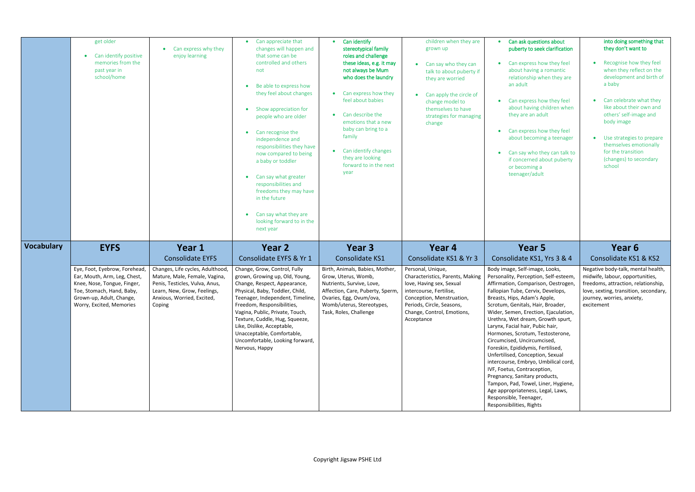### k questions about y to seek clarification

- press how they feel having a romantic nship when they are  $\mathsf{d} \mathsf{t}$
- press how they feel having children when re an adult
- press how they feel becoming a teenager
- y who they can talk to erned about puberty oming a er/adult

### into doing something that they don't want to

|                   | get older<br>Can identify positive<br>memories from the<br>past year in<br>school/home                                                                                            | Can express why they<br>enjoy learning                                                                                                                                     | Can appreciate that<br>changes will happen and<br>that some can be<br>controlled and others<br>not<br>Be able to express how<br>$\bullet$<br>they feel about changes<br>Show appreciation for<br>people who are older<br>Can recognise the<br>independence and<br>responsibilities they have<br>now compared to being<br>a baby or toddler<br>Can say what greater<br>responsibilities and<br>freedoms they may have<br>in the future<br>Can say what they are<br>looking forward to in the<br>next year | Can identify<br>stereotypical family<br>roles and challenge<br>these ideas, e.g. it may<br>not always be Mum<br>who does the laundry<br>Can express how they<br>$\bullet$<br>feel about babies<br>Can describe the<br>emotions that a new<br>baby can bring to a<br>family<br>Can identify changes<br>$\bullet$<br>they are looking<br>forward to in the next<br>year | children when they are<br>grown up<br>Can say who they can<br>talk to about puberty if<br>they are worried<br>Can apply the circle of<br>change model to<br>themselves to have<br>strategies for managing<br>change | Can ask<br>puberty<br>Can exp<br>about h<br>relation<br>an adul<br>Can exp<br>about h<br>they ar<br>Can exp<br>about b<br>Can say<br>if conce<br>or becc<br>teenag                                                                                                                                                                       |
|-------------------|-----------------------------------------------------------------------------------------------------------------------------------------------------------------------------------|----------------------------------------------------------------------------------------------------------------------------------------------------------------------------|----------------------------------------------------------------------------------------------------------------------------------------------------------------------------------------------------------------------------------------------------------------------------------------------------------------------------------------------------------------------------------------------------------------------------------------------------------------------------------------------------------|-----------------------------------------------------------------------------------------------------------------------------------------------------------------------------------------------------------------------------------------------------------------------------------------------------------------------------------------------------------------------|---------------------------------------------------------------------------------------------------------------------------------------------------------------------------------------------------------------------|------------------------------------------------------------------------------------------------------------------------------------------------------------------------------------------------------------------------------------------------------------------------------------------------------------------------------------------|
| <b>Vocabulary</b> | <b>EYFS</b>                                                                                                                                                                       | Year 1<br><b>Consolidate EYFS</b>                                                                                                                                          | Year 2<br>Consolidate EYFS & Yr 1                                                                                                                                                                                                                                                                                                                                                                                                                                                                        | Year <sub>3</sub><br><b>Consolidate KS1</b>                                                                                                                                                                                                                                                                                                                           | Year 4<br>Consolidate KS1 & Yr 3                                                                                                                                                                                    | Y <sub>(</sub><br>Consolidat                                                                                                                                                                                                                                                                                                             |
|                   | Eye, Foot, Eyebrow, Forehead,<br>Ear, Mouth, Arm, Leg, Chest,<br>Knee, Nose, Tongue, Finger,<br>Toe, Stomach, Hand, Baby,<br>Grown-up, Adult, Change,<br>Worry, Excited, Memories | Changes, Life cycles, Adulthood,<br>Mature, Male, Female, Vagina,<br>Penis, Testicles, Vulva, Anus,<br>Learn, New, Grow, Feelings,<br>Anxious, Worried, Excited,<br>Coping | Change, Grow, Control, Fully<br>grown, Growing up, Old, Young,<br>Change, Respect, Appearance,<br>Physical, Baby, Toddler, Child,<br>Teenager, Independent, Timeline,<br>Freedom, Responsibilities,<br>Vagina, Public, Private, Touch,<br>Texture, Cuddle, Hug, Squeeze,<br>Like, Dislike, Acceptable,<br>Unacceptable, Comfortable,<br>Uncomfortable, Looking forward,<br>Nervous, Happy                                                                                                                | Birth, Animals, Babies, Mother,<br>Grow, Uterus, Womb,<br>Nutrients, Survive, Love,<br>Affection, Care, Puberty, Sperm,<br>Ovaries, Egg, Ovum/ova,<br>Womb/uterus, Stereotypes,<br>Task, Roles, Challenge                                                                                                                                                             | Personal, Unique,<br>Characteristics, Parents, Making<br>love, Having sex, Sexual<br>intercourse, Fertilise,<br>Conception, Menstruation,<br>Periods, Circle, Seasons,<br>Change, Control, Emotions,<br>Acceptance  | Body image, Sel<br>Personality, Per<br>Affirmation, Cor<br>Fallopian Tube,<br>Breasts, Hips, Ao<br>Scrotum, Genita<br>Wider, Semen, E<br>Urethra, Wet dr<br>Larynx, Facial ha<br>Hormones, Scro<br>Circumcised, Un<br>Foreskin, Epidid<br>Unfertilised, Cor<br>intercourse, Em<br>IVF, Foetus, Con<br>Pregnancy, Sani<br>Tampon, Pad, To |

- Recognise how they feel when they reflect on the development and birth of a baby
- Can celebrate what they like about their own and others' self-image and body image
- Use strategies to prepare themselves emotionally for the transition (changes) to secondary school

## ear 5 e KS1, Yrs 3 & 4

If-image, Looks, ception, Self-esteem, mparison, Oestrogen, Cervix, Develops, dam's Apple, als, Hair, Broader, Erection, Ejaculation, ream, Growth spurt, air, Pubic hair, otum, Testosterone, ncircumcised, lymis, Fertilised, nception, Sexual ibryo, Umbilical cord, ntraception, itary products, owel, Liner, Hygiene, eness, Legal, Laws, enager, , Rights

## **Year 6**

## Consolidate KS1 & KS2

Negative body-talk, mental health, midwife, labour, opportunities, freedoms, attraction, relationship, love, sexting, transition, secondary, journey, worries, anxiety, excitement